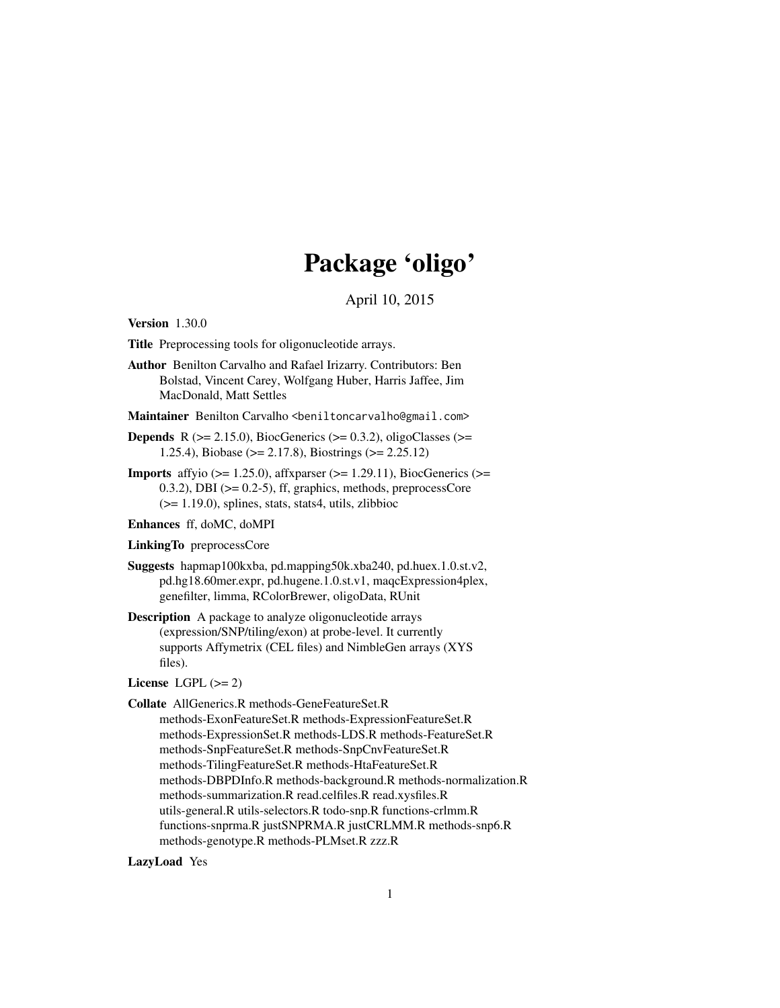# Package 'oligo'

April 10, 2015

<span id="page-0-0"></span>Version 1.30.0

Title Preprocessing tools for oligonucleotide arrays.

Author Benilton Carvalho and Rafael Irizarry. Contributors: Ben Bolstad, Vincent Carey, Wolfgang Huber, Harris Jaffee, Jim MacDonald, Matt Settles

Maintainer Benilton Carvalho <br/>beniltoncarvalho@gmail.com>

- **Depends** R ( $>= 2.15.0$ ), BiocGenerics ( $>= 0.3.2$ ), oligoClasses ( $>=$ 1.25.4), Biobase (>= 2.17.8), Biostrings (>= 2.25.12)
- **Imports** affyio ( $> = 1.25.0$ ), affxparser ( $> = 1.29.11$ ), BiocGenerics ( $> =$ 0.3.2), DBI (>= 0.2-5), ff, graphics, methods, preprocessCore  $(>= 1.19.0)$ , splines, stats, stats4, utils, zlibbioc

Enhances ff, doMC, doMPI

LinkingTo preprocessCore

- Suggests hapmap100kxba, pd.mapping50k.xba240, pd.huex.1.0.st.v2, pd.hg18.60mer.expr, pd.hugene.1.0.st.v1, maqcExpression4plex, genefilter, limma, RColorBrewer, oligoData, RUnit
- Description A package to analyze oligonucleotide arrays (expression/SNP/tiling/exon) at probe-level. It currently supports Affymetrix (CEL files) and NimbleGen arrays (XYS files).

License LGPL  $(>= 2)$ 

Collate AllGenerics.R methods-GeneFeatureSet.R methods-ExonFeatureSet.R methods-ExpressionFeatureSet.R methods-ExpressionSet.R methods-LDS.R methods-FeatureSet.R methods-SnpFeatureSet.R methods-SnpCnvFeatureSet.R methods-TilingFeatureSet.R methods-HtaFeatureSet.R methods-DBPDInfo.R methods-background.R methods-normalization.R methods-summarization.R read.celfiles.R read.xysfiles.R utils-general.R utils-selectors.R todo-snp.R functions-crlmm.R functions-snprma.R justSNPRMA.R justCRLMM.R methods-snp6.R methods-genotype.R methods-PLMset.R zzz.R

LazyLoad Yes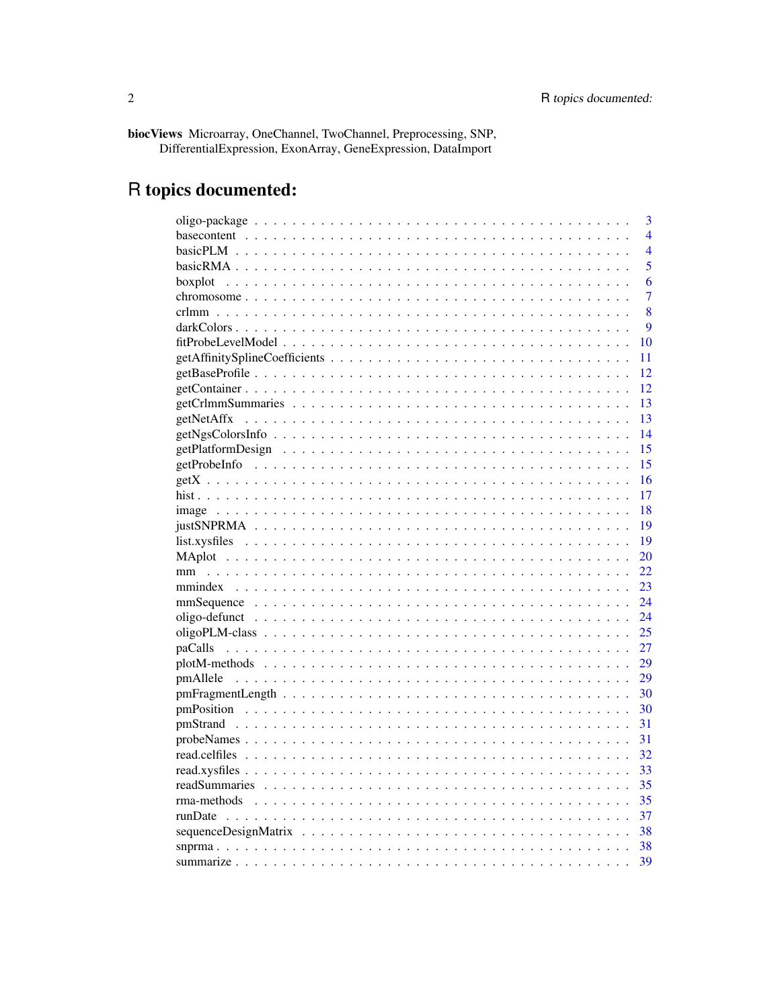biocViews Microarray, OneChannel, TwoChannel, Preprocessing, SNP, DifferentialExpression, ExonArray, GeneExpression, DataImport

# R topics documented:

|                                                                                                                                                                                                                                           | 3              |
|-------------------------------------------------------------------------------------------------------------------------------------------------------------------------------------------------------------------------------------------|----------------|
|                                                                                                                                                                                                                                           | $\overline{4}$ |
|                                                                                                                                                                                                                                           | $\overline{4}$ |
|                                                                                                                                                                                                                                           | 5              |
|                                                                                                                                                                                                                                           | 6              |
|                                                                                                                                                                                                                                           | 7              |
|                                                                                                                                                                                                                                           | 8              |
|                                                                                                                                                                                                                                           | 9              |
|                                                                                                                                                                                                                                           | 10             |
|                                                                                                                                                                                                                                           | 11             |
|                                                                                                                                                                                                                                           | 12             |
|                                                                                                                                                                                                                                           | 12             |
|                                                                                                                                                                                                                                           | 13             |
| getNetAffx                                                                                                                                                                                                                                | 13             |
|                                                                                                                                                                                                                                           | 14             |
|                                                                                                                                                                                                                                           | 15             |
|                                                                                                                                                                                                                                           | 15             |
|                                                                                                                                                                                                                                           | 16             |
|                                                                                                                                                                                                                                           | 17             |
|                                                                                                                                                                                                                                           | 18             |
|                                                                                                                                                                                                                                           | 19             |
|                                                                                                                                                                                                                                           | 19             |
|                                                                                                                                                                                                                                           | <b>20</b>      |
| mm                                                                                                                                                                                                                                        | 22             |
|                                                                                                                                                                                                                                           | 23             |
|                                                                                                                                                                                                                                           | 24             |
|                                                                                                                                                                                                                                           | 24             |
|                                                                                                                                                                                                                                           | 25             |
|                                                                                                                                                                                                                                           | 27             |
|                                                                                                                                                                                                                                           | 29             |
| pmAllele<br>and a constitution of the constitution of the constitution of the constitution of the constitution of the constitution of the constitution of the constitution of the constitution of the constitution of the constitution of | 29             |
|                                                                                                                                                                                                                                           | 30             |
|                                                                                                                                                                                                                                           | 30             |
|                                                                                                                                                                                                                                           | 31             |
|                                                                                                                                                                                                                                           | 31             |
|                                                                                                                                                                                                                                           | 32             |
|                                                                                                                                                                                                                                           | 33             |
|                                                                                                                                                                                                                                           | 35             |
|                                                                                                                                                                                                                                           | 35             |
|                                                                                                                                                                                                                                           | 37             |
|                                                                                                                                                                                                                                           | 38             |
|                                                                                                                                                                                                                                           | 38             |
|                                                                                                                                                                                                                                           | 39             |
|                                                                                                                                                                                                                                           |                |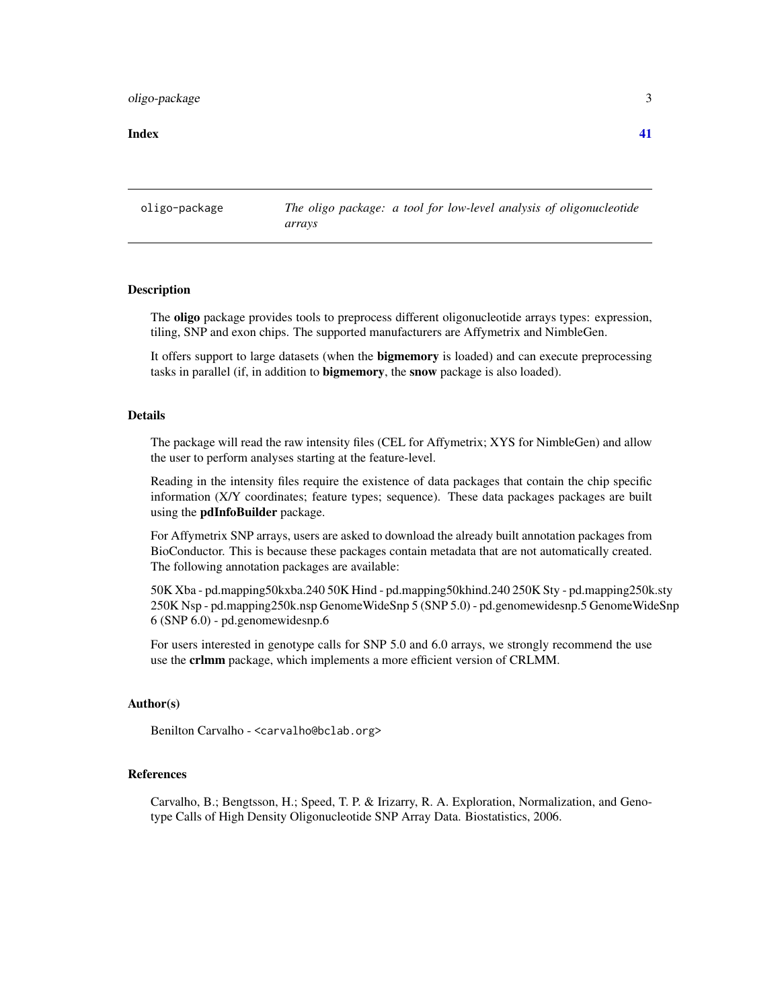# <span id="page-2-0"></span>oligo-package 3

#### **Index** [41](#page-40-0)

oligo-package *The oligo package: a tool for low-level analysis of oligonucleotide arrays*

#### **Description**

The oligo package provides tools to preprocess different oligonucleotide arrays types: expression, tiling, SNP and exon chips. The supported manufacturers are Affymetrix and NimbleGen.

It offers support to large datasets (when the **bigmemory** is loaded) and can execute preprocessing tasks in parallel (if, in addition to **bigmemory**, the **snow** package is also loaded).

# Details

The package will read the raw intensity files (CEL for Affymetrix; XYS for NimbleGen) and allow the user to perform analyses starting at the feature-level.

Reading in the intensity files require the existence of data packages that contain the chip specific information (X/Y coordinates; feature types; sequence). These data packages packages are built using the **pdInfoBuilder** package.

For Affymetrix SNP arrays, users are asked to download the already built annotation packages from BioConductor. This is because these packages contain metadata that are not automatically created. The following annotation packages are available:

50K Xba - pd.mapping50kxba.240 50K Hind - pd.mapping50khind.240 250K Sty - pd.mapping250k.sty 250K Nsp - pd.mapping250k.nsp GenomeWideSnp 5 (SNP 5.0) - pd.genomewidesnp.5 GenomeWideSnp 6 (SNP 6.0) - pd.genomewidesnp.6

For users interested in genotype calls for SNP 5.0 and 6.0 arrays, we strongly recommend the use use the crlmm package, which implements a more efficient version of CRLMM.

#### Author(s)

Benilton Carvalho - <carvalho@bclab.org>

#### References

Carvalho, B.; Bengtsson, H.; Speed, T. P. & Irizarry, R. A. Exploration, Normalization, and Genotype Calls of High Density Oligonucleotide SNP Array Data. Biostatistics, 2006.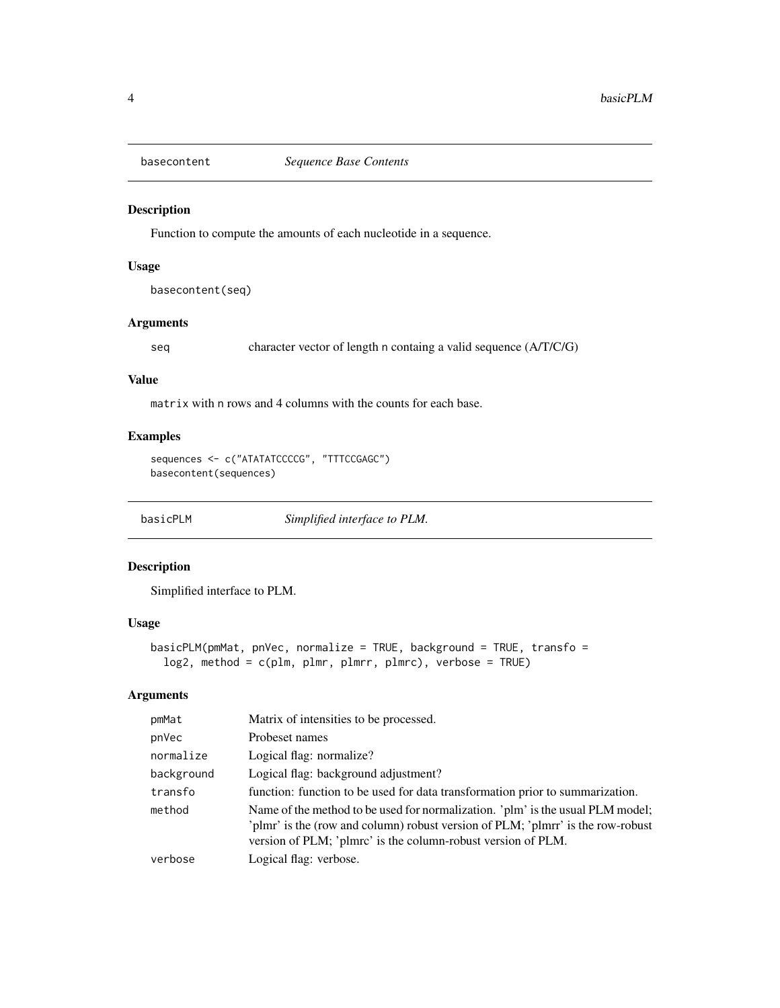<span id="page-3-0"></span>

# Description

Function to compute the amounts of each nucleotide in a sequence.

# Usage

basecontent(seq)

# Arguments

seq character vector of length n containg a valid sequence (A/T/C/G)

#### Value

matrix with n rows and 4 columns with the counts for each base.

# Examples

```
sequences <- c("ATATATCCCCG", "TTTCCGAGC")
basecontent(sequences)
```
basicPLM *Simplified interface to PLM.*

# Description

Simplified interface to PLM.

# Usage

```
basicPLM(pmMat, pnVec, normalize = TRUE, background = TRUE, transfo =
 log2, method = c(plm, plmr, plmrr, plmrc), verbose = TRUE)
```
# Arguments

| pmMat      | Matrix of intensities to be processed.                                                                                                                                                                                            |
|------------|-----------------------------------------------------------------------------------------------------------------------------------------------------------------------------------------------------------------------------------|
| pnVec      | Probeset names                                                                                                                                                                                                                    |
| normalize  | Logical flag: normalize?                                                                                                                                                                                                          |
| background | Logical flag: background adjustment?                                                                                                                                                                                              |
| transfo    | function: function to be used for data transformation prior to summarization.                                                                                                                                                     |
| method     | Name of the method to be used for normalization. 'plm' is the usual PLM model;<br>'plmr' is the (row and column) robust version of PLM; 'plmrr' is the row-robust<br>version of PLM; 'plmrc' is the column-robust version of PLM. |
| verbose    | Logical flag: verbose.                                                                                                                                                                                                            |
|            |                                                                                                                                                                                                                                   |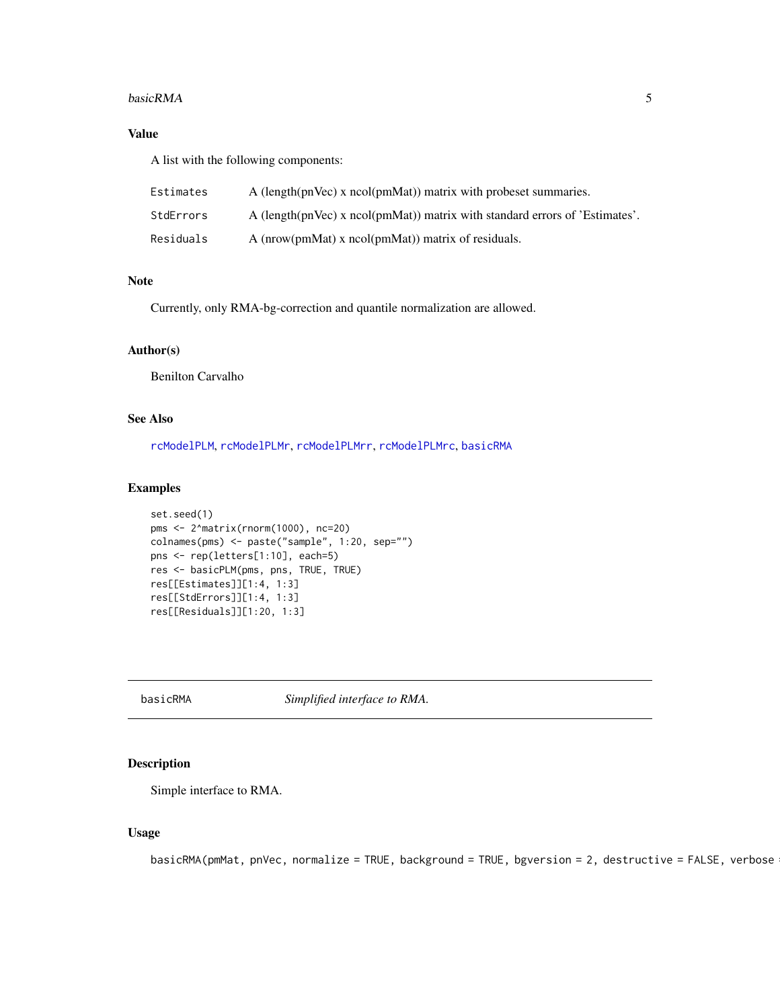#### <span id="page-4-0"></span>basicRMA 5

# Value

A list with the following components:

| Estimates | A (length(pnVec) x ncol(pmMat)) matrix with probeset summaries.             |
|-----------|-----------------------------------------------------------------------------|
| StdErrors | A (length(pnVec) x ncol(pmMat)) matrix with standard errors of 'Estimates'. |
| Residuals | A ( $nrow(pmMat)$ ) x $ncol(pmMat)$ ) matrix of residuals.                  |

# Note

Currently, only RMA-bg-correction and quantile normalization are allowed.

# Author(s)

Benilton Carvalho

# See Also

[rcModelPLM](#page-0-0), [rcModelPLMr](#page-0-0), [rcModelPLMrr](#page-0-0), [rcModelPLMrc](#page-0-0), [basicRMA](#page-4-1)

# Examples

```
set.seed(1)
pms <- 2^matrix(rnorm(1000), nc=20)
colnames(pms) <- paste("sample", 1:20, sep="")
pns <- rep(letters[1:10], each=5)
res <- basicPLM(pms, pns, TRUE, TRUE)
res[[Estimates]][1:4, 1:3]
res[[StdErrors]][1:4, 1:3]
res[[Residuals]][1:20, 1:3]
```
<span id="page-4-1"></span>basicRMA *Simplified interface to RMA.*

# Description

Simple interface to RMA.

# Usage

basicRMA(pmMat, pnVec, normalize = TRUE, background = TRUE, bgversion = 2, destructive = FALSE, verbose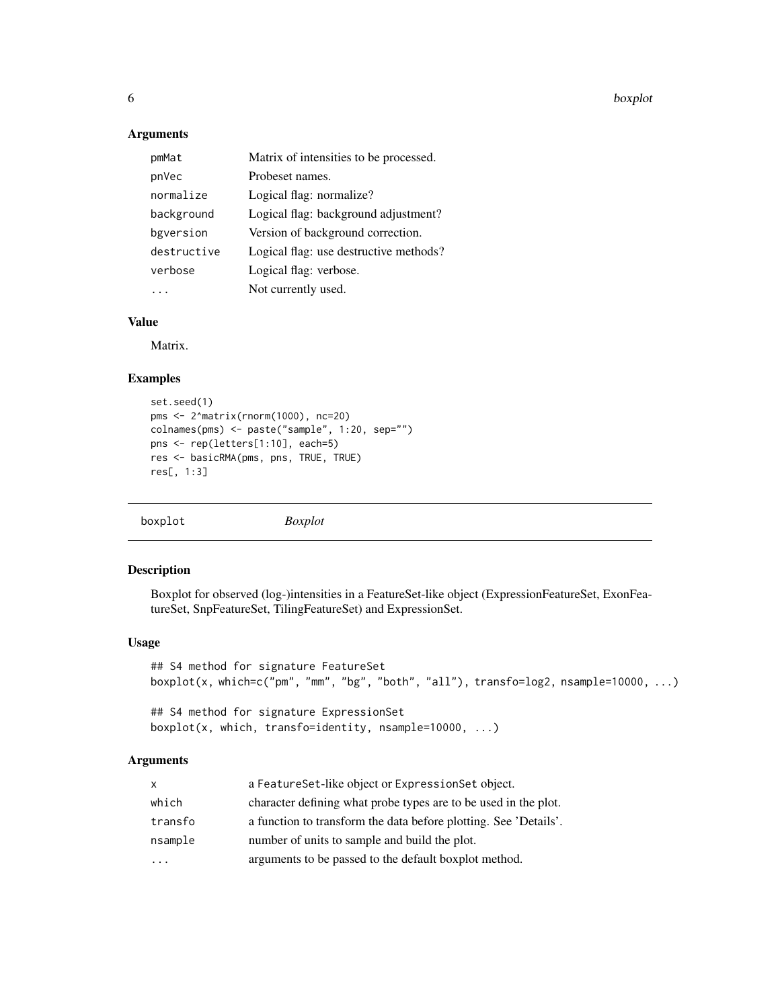6 boxplot boxplot boxplot boxplot boxplot boxplot boxplot boxplot boxplot boxplot boxplot boxplot boxplot boxplot boxplot boxplot boxplot boxplot boxplot boxplot boxplot boxplot boxplot boxplot boxplot boxplot boxplot boxp

# Arguments

| pmMat       | Matrix of intensities to be processed. |
|-------------|----------------------------------------|
| pnVec       | Probeset names.                        |
| normalize   | Logical flag: normalize?               |
| background  | Logical flag: background adjustment?   |
| bgversion   | Version of background correction.      |
| destructive | Logical flag: use destructive methods? |
| verbose     | Logical flag: verbose.                 |
|             | Not currently used.                    |

# Value

Matrix.

#### Examples

```
set.seed(1)
pms <- 2^matrix(rnorm(1000), nc=20)
colnames(pms) <- paste("sample", 1:20, sep="")
pns <- rep(letters[1:10], each=5)
res <- basicRMA(pms, pns, TRUE, TRUE)
res[, 1:3]
```
boxplot *Boxplot*

#### Description

Boxplot for observed (log-)intensities in a FeatureSet-like object (ExpressionFeatureSet, ExonFeatureSet, SnpFeatureSet, TilingFeatureSet) and ExpressionSet.

#### Usage

```
## S4 method for signature FeatureSet
boxplot(x, which=c("pm", "mm", "bg", "both", "all"), transfo=log2, nsample=10000, ...)
```

```
## S4 method for signature ExpressionSet
boxplot(x, which, transfo=identity, nsample=10000, ...)
```
# Arguments

| X.                      | a FeatureSet-like object or ExpressionSet object.                |
|-------------------------|------------------------------------------------------------------|
| which                   | character defining what probe types are to be used in the plot.  |
| transfo                 | a function to transform the data before plotting. See 'Details'. |
| nsample                 | number of units to sample and build the plot.                    |
| $\cdot$ $\cdot$ $\cdot$ | arguments to be passed to the default boxplot method.            |
|                         |                                                                  |

<span id="page-5-0"></span>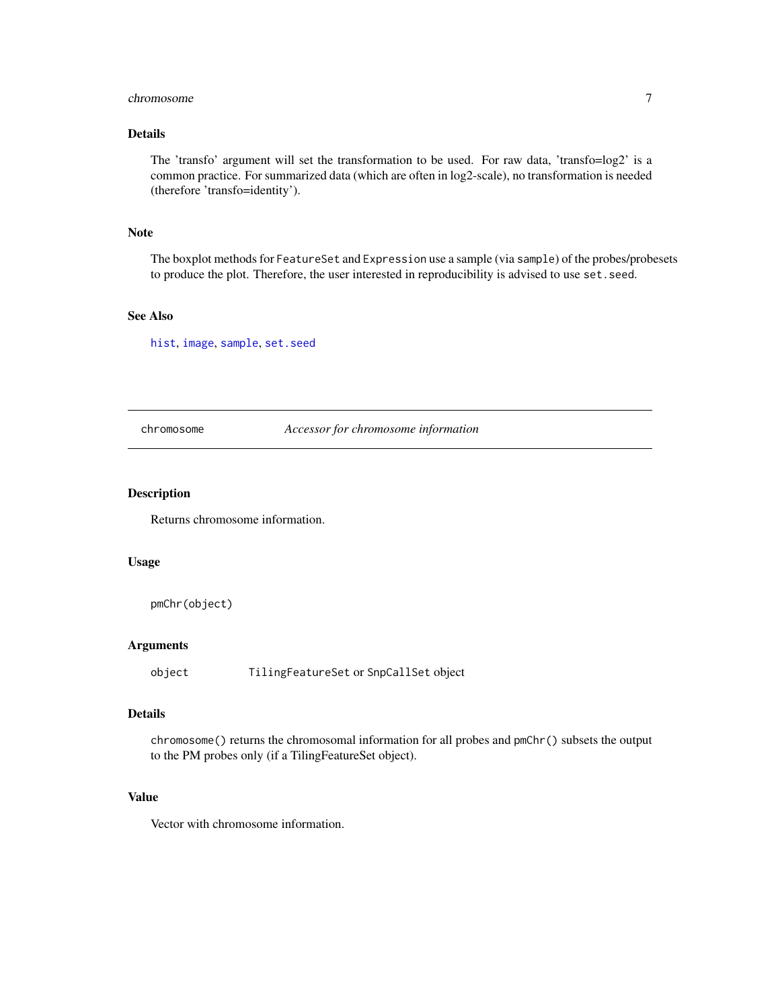#### <span id="page-6-0"></span>chromosome 7

# Details

The 'transfo' argument will set the transformation to be used. For raw data, 'transfo=log2' is a common practice. For summarized data (which are often in log2-scale), no transformation is needed (therefore 'transfo=identity').

#### Note

The boxplot methods for FeatureSet and Expression use a sample (via sample) of the probes/probesets to produce the plot. Therefore, the user interested in reproducibility is advised to use set.seed.

#### See Also

[hist](#page-16-1), [image](#page-17-1), [sample](#page-0-0), [set.seed](#page-0-0)

chromosome *Accessor for chromosome information*

### Description

Returns chromosome information.

#### Usage

```
pmChr(object)
```
# Arguments

object TilingFeatureSet or SnpCallSet object

### Details

chromosome() returns the chromosomal information for all probes and pmChr() subsets the output to the PM probes only (if a TilingFeatureSet object).

# Value

Vector with chromosome information.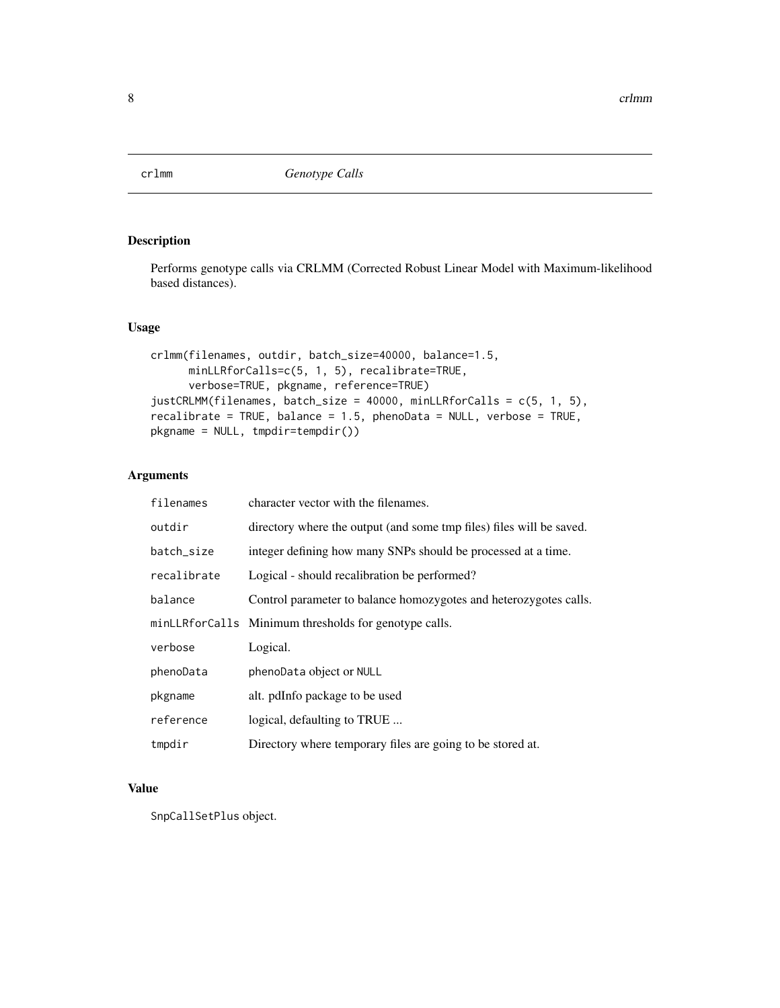<span id="page-7-0"></span>

# Description

Performs genotype calls via CRLMM (Corrected Robust Linear Model with Maximum-likelihood based distances).

# Usage

```
crlmm(filenames, outdir, batch_size=40000, balance=1.5,
     minLLRforCalls=c(5, 1, 5), recalibrate=TRUE,
      verbose=TRUE, pkgname, reference=TRUE)
justCRLMM(filenames, batch_size = 40000, minLLRforCalls = c(5, 1, 5),
recalibrate = TRUE, balance = 1.5, phenoData = NULL, verbose = TRUE,
pkgname = NULL, tmpdir=tempdir())
```
# Arguments

| filenames   | character vector with the filenames.                                 |
|-------------|----------------------------------------------------------------------|
| outdir      | directory where the output (and some tmp files) files will be saved. |
| batch_size  | integer defining how many SNPs should be processed at a time.        |
| recalibrate | Logical - should recalibration be performed?                         |
| balance     | Control parameter to balance homozygotes and heterozygotes calls.    |
|             | minLLRforCalls Minimum thresholds for genotype calls.                |
| verbose     | Logical.                                                             |
| phenoData   | phenoData object or NULL                                             |
| pkgname     | alt. pdInfo package to be used                                       |
| reference   | logical, defaulting to TRUE                                          |
| tmpdir      | Directory where temporary files are going to be stored at.           |

# Value

SnpCallSetPlus object.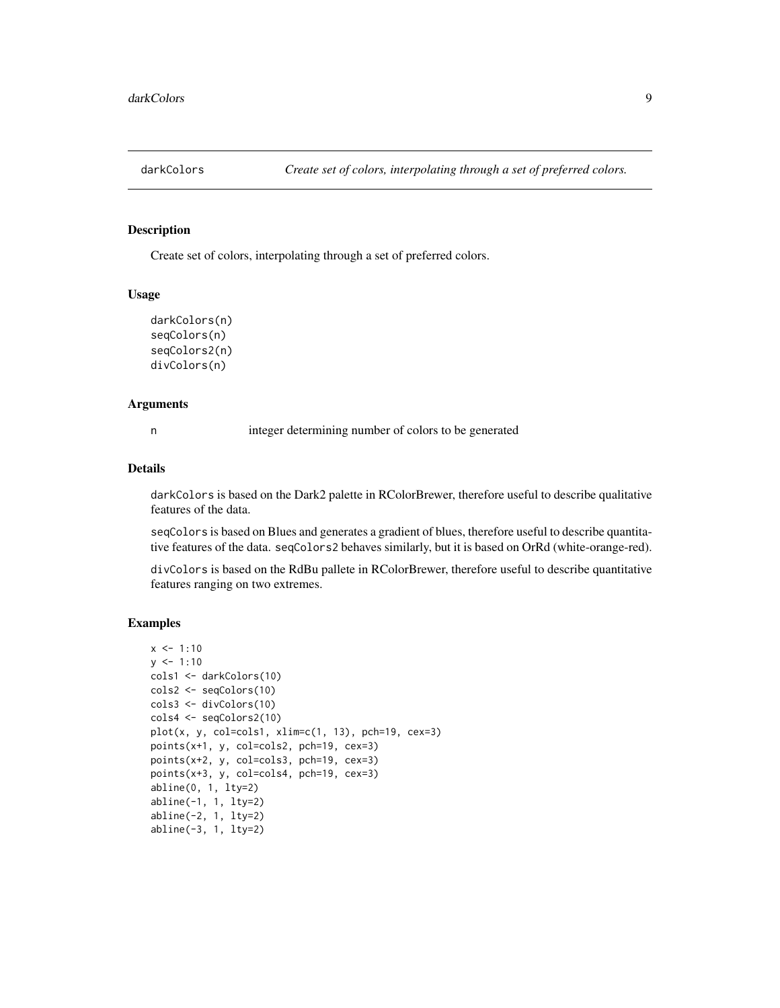<span id="page-8-0"></span>

# Description

Create set of colors, interpolating through a set of preferred colors.

#### Usage

```
darkColors(n)
seqColors(n)
seqColors2(n)
divColors(n)
```
#### Arguments

n integer determining number of colors to be generated

#### Details

darkColors is based on the Dark2 palette in RColorBrewer, therefore useful to describe qualitative features of the data.

seqColors is based on Blues and generates a gradient of blues, therefore useful to describe quantitative features of the data. seqColors2 behaves similarly, but it is based on OrRd (white-orange-red).

divColors is based on the RdBu pallete in RColorBrewer, therefore useful to describe quantitative features ranging on two extremes.

# Examples

```
x \le -1:10y \le -1:10cols1 <- darkColors(10)
cols2 <- seqColors(10)
cols3 <- divColors(10)
cols4 <- seqColors2(10)
plot(x, y, col=cols1, xlim=c(1, 13), pch=19, cex=3)points(x+1, y, col=cols2, pch=19, cex=3)
points(x+2, y, col=cols3, pch=19, cex=3)
points(x+3, y, col=cols4, pch=19, cex=3)
abline(0, 1, lty=2)
abline(-1, 1, lty=2)
abline(-2, 1, lty=2)
abline(-3, 1, lty=2)
```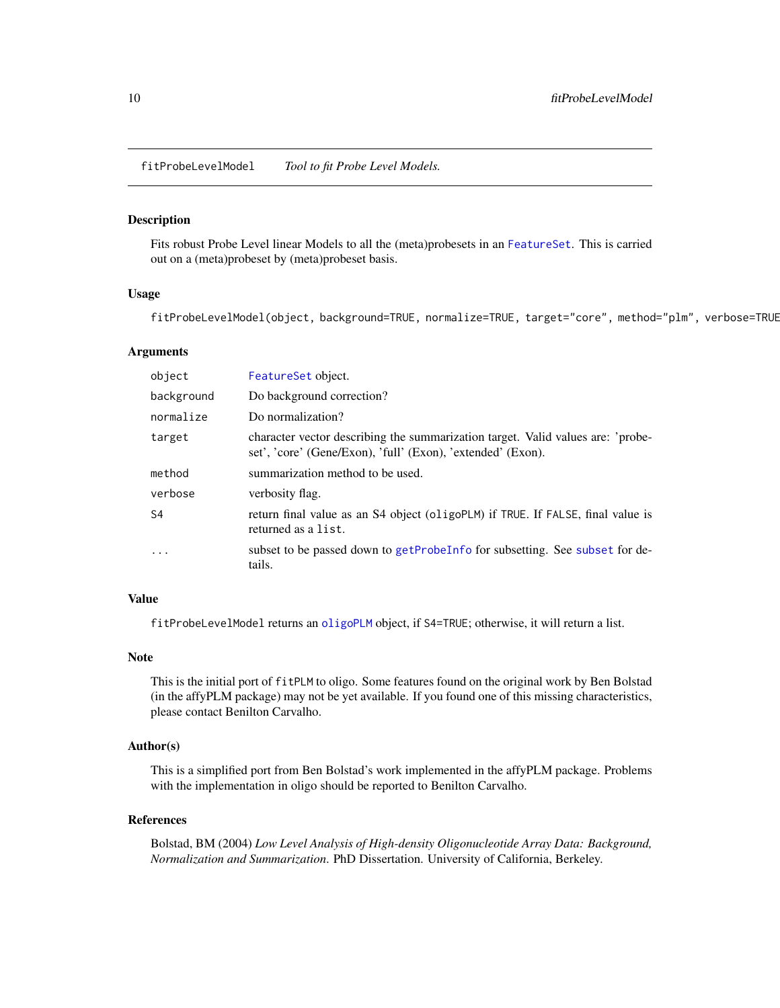<span id="page-9-0"></span>fitProbeLevelModel *Tool to fit Probe Level Models.*

#### Description

Fits robust Probe Level linear Models to all the (meta)probesets in an [FeatureSet](#page-0-0). This is carried out on a (meta)probeset by (meta)probeset basis.

# Usage

fitProbeLevelModel(object, background=TRUE, normalize=TRUE, target="core", method="plm", verbose=TRUE

#### Arguments

| object         | FeatureSet object.                                                                                                                             |
|----------------|------------------------------------------------------------------------------------------------------------------------------------------------|
| background     | Do background correction?                                                                                                                      |
| normalize      | Do normalization?                                                                                                                              |
| target         | character vector describing the summarization target. Valid values are: 'probe-<br>set', 'core' (Gene/Exon), 'full' (Exon), 'extended' (Exon). |
| method         | summarization method to be used.                                                                                                               |
| verbose        | verbosity flag.                                                                                                                                |
| S <sub>4</sub> | return final value as an S4 object (oligoPLM) if TRUE. If FALSE, final value is<br>returned as a list.                                         |
| .              | subset to be passed down to getProbeInfo for subsetting. See subset for de-<br>tails.                                                          |

# Value

fitProbeLevelModel returns an [oligoPLM](#page-24-1) object, if S4=TRUE; otherwise, it will return a list.

#### Note

This is the initial port of fitPLM to oligo. Some features found on the original work by Ben Bolstad (in the affyPLM package) may not be yet available. If you found one of this missing characteristics, please contact Benilton Carvalho.

#### Author(s)

This is a simplified port from Ben Bolstad's work implemented in the affyPLM package. Problems with the implementation in oligo should be reported to Benilton Carvalho.

#### References

Bolstad, BM (2004) *Low Level Analysis of High-density Oligonucleotide Array Data: Background, Normalization and Summarization*. PhD Dissertation. University of California, Berkeley.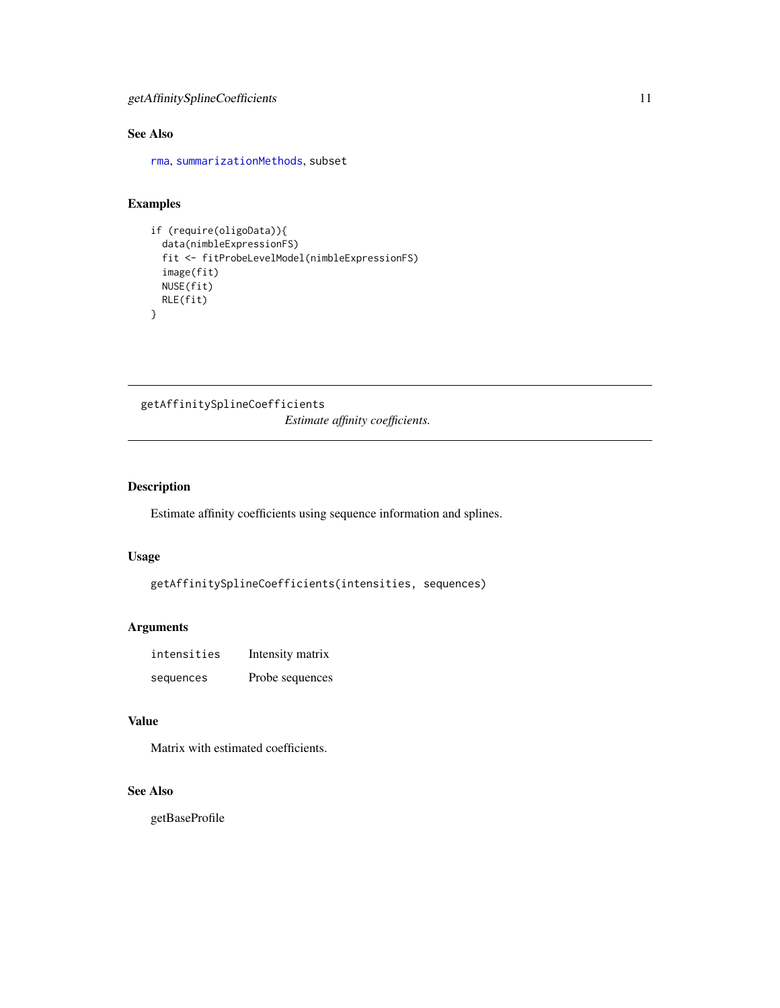# <span id="page-10-0"></span>See Also

[rma](#page-34-1), [summarizationMethods](#page-38-1), subset

# Examples

```
if (require(oligoData)){
  data(nimbleExpressionFS)
  fit <- fitProbeLevelModel(nimbleExpressionFS)
  image(fit)
  NUSE(fit)
  RLE(fit)
}
```
getAffinitySplineCoefficients *Estimate affinity coefficients.*

# Description

Estimate affinity coefficients using sequence information and splines.

#### Usage

```
getAffinitySplineCoefficients(intensities, sequences)
```
# Arguments

| intensities | Intensity matrix |
|-------------|------------------|
| sequences   | Probe sequences  |

# Value

Matrix with estimated coefficients.

# See Also

getBaseProfile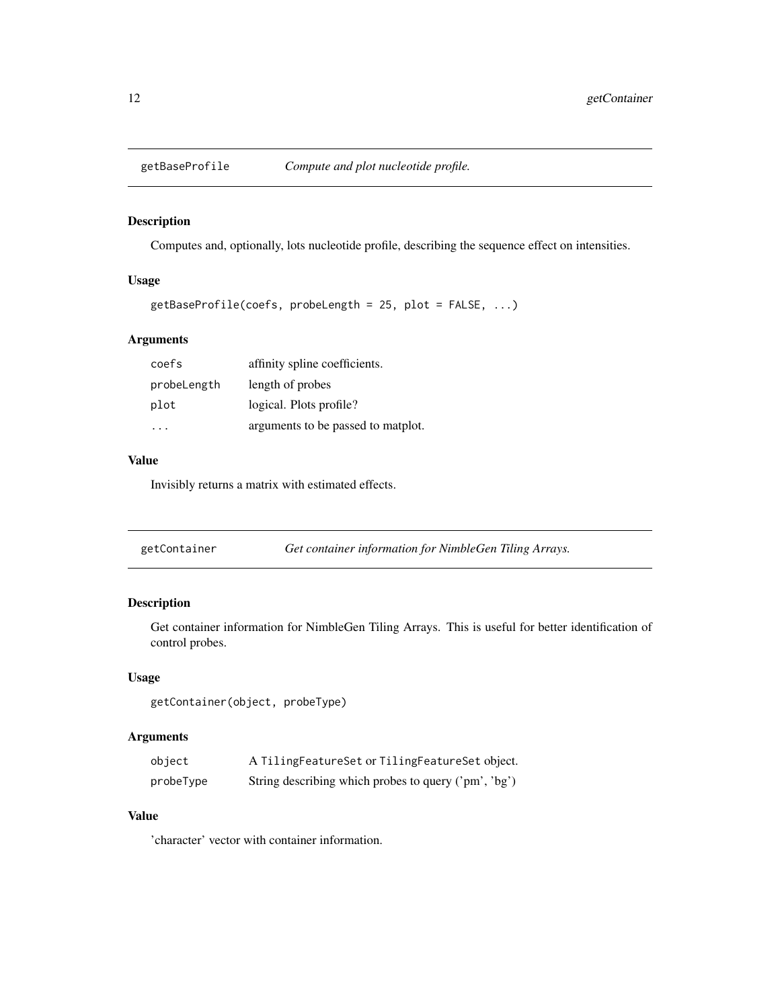<span id="page-11-0"></span>

# Description

Computes and, optionally, lots nucleotide profile, describing the sequence effect on intensities.

# Usage

```
getBaseProfile(coefs, probeLength = 25, plot = FALSE, ...)
```
# Arguments

| coefs       | affinity spline coefficients.      |
|-------------|------------------------------------|
| probeLength | length of probes                   |
| plot        | logical. Plots profile?            |
|             | arguments to be passed to matplot. |

#### Value

Invisibly returns a matrix with estimated effects.

| getContainer | Get container information for NimbleGen Tiling Arrays. |  |
|--------------|--------------------------------------------------------|--|
|--------------|--------------------------------------------------------|--|

# Description

Get container information for NimbleGen Tiling Arrays. This is useful for better identification of control probes.

#### Usage

getContainer(object, probeType)

# Arguments

| object    | A TilingFeatureSet or TilingFeatureSet object.       |
|-----------|------------------------------------------------------|
| probeType | String describing which probes to query ('pm', 'bg') |

# Value

'character' vector with container information.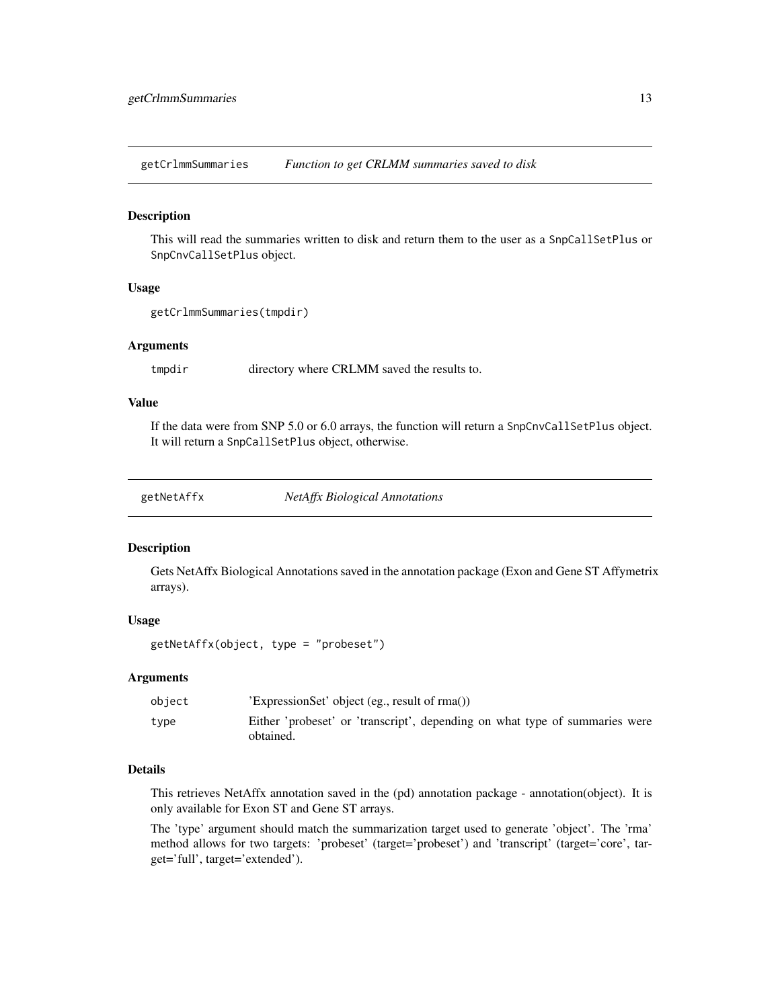<span id="page-12-0"></span>getCrlmmSummaries *Function to get CRLMM summaries saved to disk*

#### Description

This will read the summaries written to disk and return them to the user as a SnpCallSetPlus or SnpCnvCallSetPlus object.

#### Usage

```
getCrlmmSummaries(tmpdir)
```
#### **Arguments**

tmpdir directory where CRLMM saved the results to.

#### Value

If the data were from SNP 5.0 or 6.0 arrays, the function will return a SnpCnvCallSetPlus object. It will return a SnpCallSetPlus object, otherwise.

getNetAffx *NetAffx Biological Annotations*

#### Description

Gets NetAffx Biological Annotations saved in the annotation package (Exon and Gene ST Affymetrix arrays).

#### Usage

```
getNetAffx(object, type = "probeset")
```
#### Arguments

| object | 'ExpressionSet' object (eg., result of rma())                                            |
|--------|------------------------------------------------------------------------------------------|
| type   | Either 'probeset' or 'transcript', depending on what type of summaries were<br>obtained. |

# Details

This retrieves NetAffx annotation saved in the (pd) annotation package - annotation(object). It is only available for Exon ST and Gene ST arrays.

The 'type' argument should match the summarization target used to generate 'object'. The 'rma' method allows for two targets: 'probeset' (target='probeset') and 'transcript' (target='core', target='full', target='extended').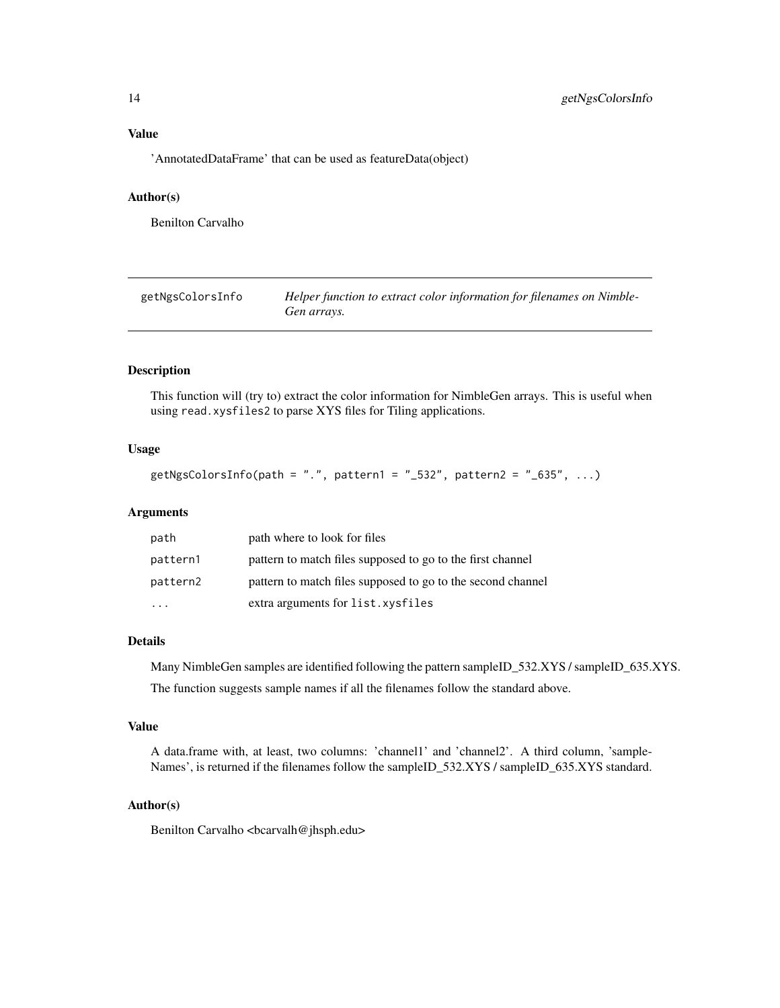# <span id="page-13-0"></span>Value

'AnnotatedDataFrame' that can be used as featureData(object)

# Author(s)

Benilton Carvalho

getNgsColorsInfo *Helper function to extract color information for filenames on Nimble-Gen arrays.*

# Description

This function will (try to) extract the color information for NimbleGen arrays. This is useful when using read.xysfiles2 to parse XYS files for Tiling applications.

#### Usage

```
getNgsColorsInfo(path = ".", pattern1 = "_532", pattern2 = "_635", ...)
```
# Arguments

| path     | path where to look for files                                |
|----------|-------------------------------------------------------------|
| pattern1 | pattern to match files supposed to go to the first channel  |
| pattern2 | pattern to match files supposed to go to the second channel |
| .        | extra arguments for list.xysfiles                           |

#### Details

Many NimbleGen samples are identified following the pattern sampleID\_532.XYS / sampleID\_635.XYS.

The function suggests sample names if all the filenames follow the standard above.

#### Value

A data.frame with, at least, two columns: 'channel1' and 'channel2'. A third column, 'sample-Names', is returned if the filenames follow the sampleID\_532.XYS / sampleID\_635.XYS standard.

#### Author(s)

Benilton Carvalho <br/>bcarvalh@jhsph.edu>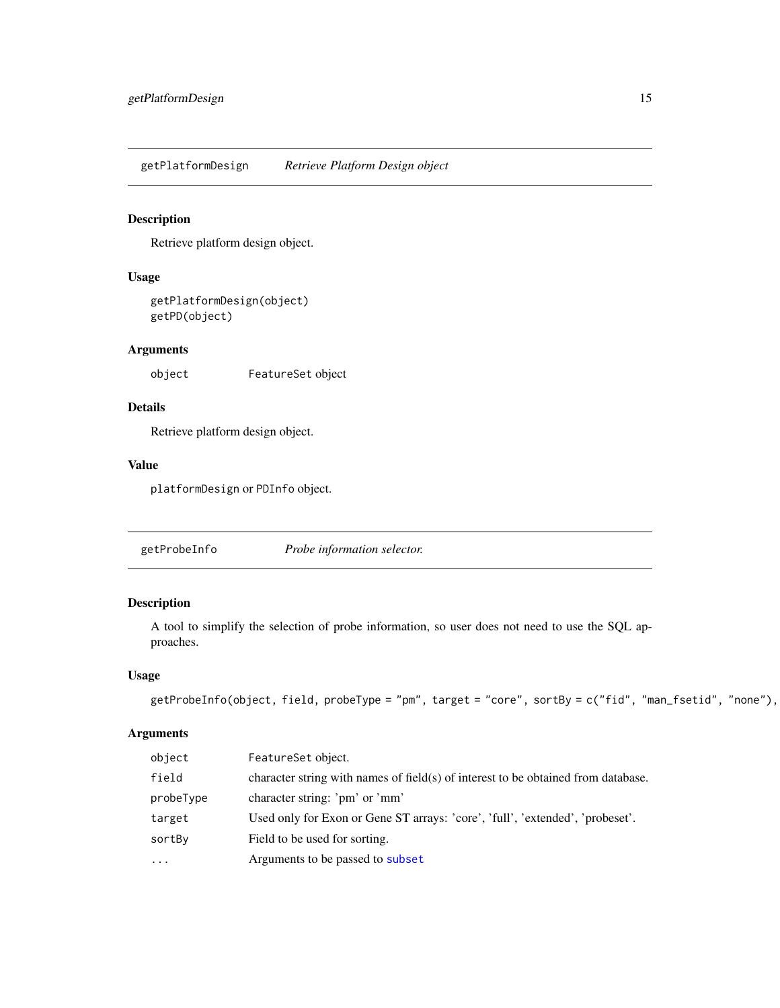<span id="page-14-0"></span>getPlatformDesign *Retrieve Platform Design object*

# Description

Retrieve platform design object.

# Usage

```
getPlatformDesign(object)
getPD(object)
```
# Arguments

object FeatureSet object

# Details

Retrieve platform design object.

# Value

platformDesign or PDInfo object.

<span id="page-14-1"></span>

| getProbeInfo | Probe information selector. |  |
|--------------|-----------------------------|--|
|--------------|-----------------------------|--|

# Description

A tool to simplify the selection of probe information, so user does not need to use the SQL approaches.

#### Usage

```
getProbeInfo(object, field, probeType = "pm", target = "core", sortBy = c("fid", "man_fsetid", "none"),
```
# Arguments

| object    | FeatureSet object.                                                                |
|-----------|-----------------------------------------------------------------------------------|
| field     | character string with names of field(s) of interest to be obtained from database. |
| probeType | character string: 'pm' or 'mm'                                                    |
| target    | Used only for Exon or Gene ST arrays: 'core', 'full', 'extended', 'probeset'.     |
| sortBy    | Field to be used for sorting.                                                     |
| $\cdots$  | Arguments to be passed to subset                                                  |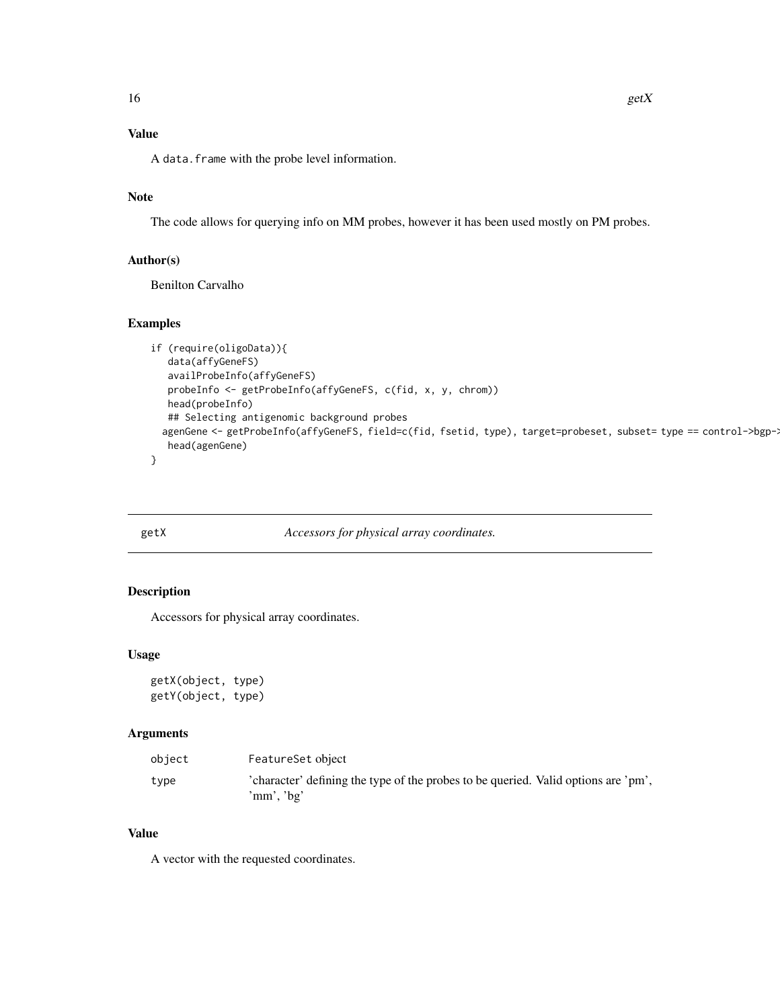# Value

A data.frame with the probe level information.

# Note

The code allows for querying info on MM probes, however it has been used mostly on PM probes.

# Author(s)

Benilton Carvalho

# Examples

```
if (require(oligoData)){
  data(affyGeneFS)
  availProbeInfo(affyGeneFS)
  probeInfo <- getProbeInfo(affyGeneFS, c(fid, x, y, chrom))
  head(probeInfo)
  ## Selecting antigenomic background probes
 agenGene <- getProbeInfo(affyGeneFS, field=c(fid, fsetid, type), target=probeset, subset= type == control->bgp->
  head(agenGene)
```
}

getX *Accessors for physical array coordinates.*

# Description

Accessors for physical array coordinates.

# Usage

getX(object, type) getY(object, type)

# Arguments

| object | FeatureSet object                                                                                |
|--------|--------------------------------------------------------------------------------------------------|
| type   | 'character' defining the type of the probes to be queried. Valid options are 'pm',<br>'mm', 'bg' |

# Value

A vector with the requested coordinates.

<span id="page-15-0"></span>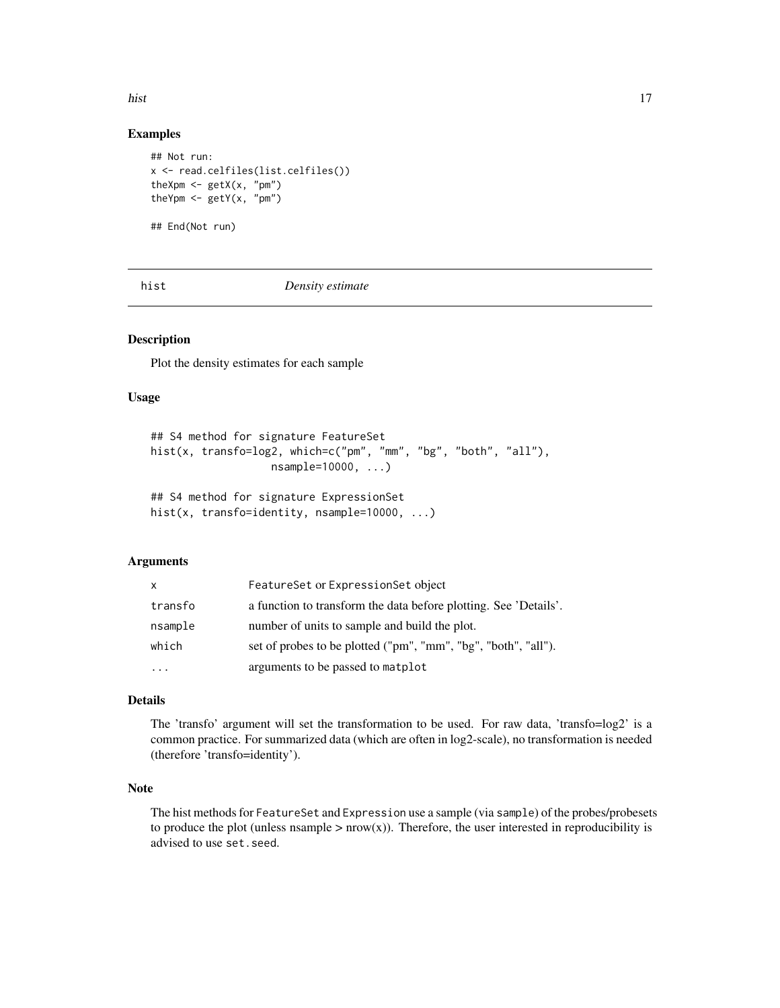<span id="page-16-0"></span>hist the contract of the contract of the contract of the contract of the contract of the contract of the contract of the contract of the contract of the contract of the contract of the contract of the contract of the contr

# Examples

```
## Not run:
x <- read.celfiles(list.celfiles())
theXpm \leq getX(x, "pm")
theYpm \leq getY(x, "pm")
```
## End(Not run)

<span id="page-16-1"></span>hist *Density estimate*

#### Description

Plot the density estimates for each sample

# Usage

```
## S4 method for signature FeatureSet
hist(x, transfo=log2, which=c("pm", "mm", "bg", "both", "all"),
                   nsample=10000, ...)
```

```
## S4 method for signature ExpressionSet
hist(x, transfo=identity, nsample=10000, ...)
```
#### Arguments

| X       | FeatureSet or ExpressionSet object                               |
|---------|------------------------------------------------------------------|
| transfo | a function to transform the data before plotting. See 'Details'. |
| nsample | number of units to sample and build the plot.                    |
| which   | set of probes to be plotted ("pm", "mm", "bg", "both", "all").   |
|         | arguments to be passed to matplot                                |

# Details

The 'transfo' argument will set the transformation to be used. For raw data, 'transfo=log2' is a common practice. For summarized data (which are often in log2-scale), no transformation is needed (therefore 'transfo=identity').

# Note

The hist methods for FeatureSet and Expression use a sample (via sample) of the probes/probesets to produce the plot (unless nsample  $> nrow(x)$ ). Therefore, the user interested in reproducibility is advised to use set.seed.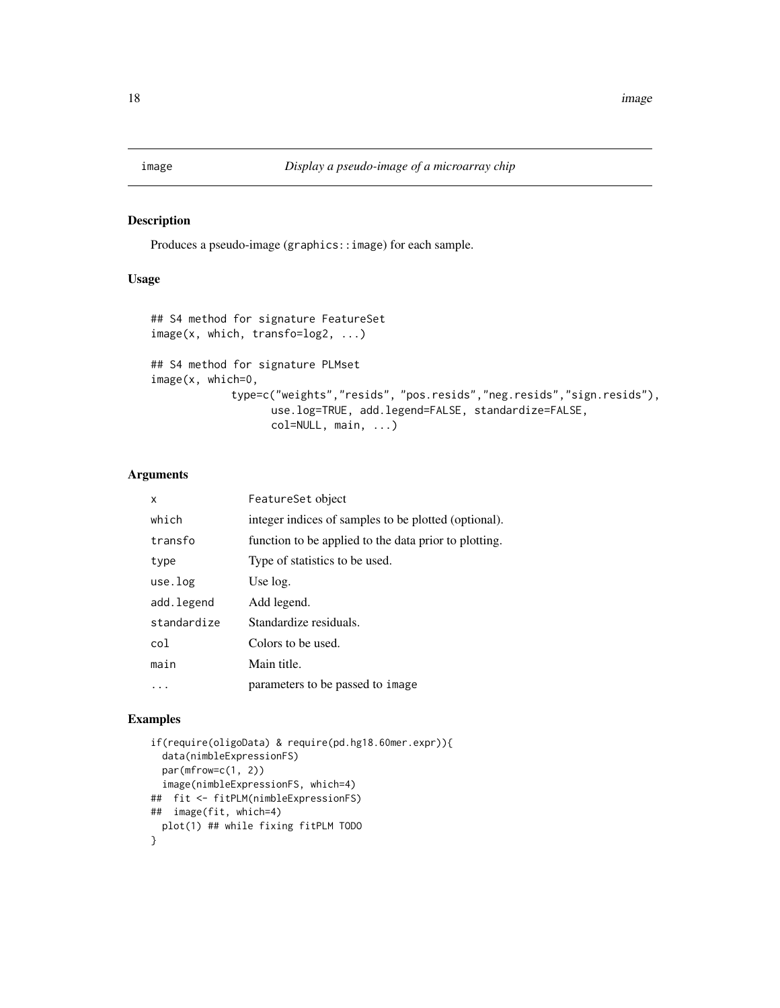<span id="page-17-1"></span><span id="page-17-0"></span>

# Description

Produces a pseudo-image (graphics::image) for each sample.

# Usage

```
## S4 method for signature FeatureSet
image(x, which, transfo=log2, ...)
## S4 method for signature PLMset
image(x, which=0,
            type=c("weights","resids", "pos.resids","neg.resids","sign.resids"),
                   use.log=TRUE, add.legend=FALSE, standardize=FALSE,
                   col=NULL, main, ...)
```
# Arguments

| x           | FeatureSet object                                     |
|-------------|-------------------------------------------------------|
| which       | integer indices of samples to be plotted (optional).  |
| transfo     | function to be applied to the data prior to plotting. |
| type        | Type of statistics to be used.                        |
| use.log     | Use log.                                              |
| add.legend  | Add legend.                                           |
| standardize | Standardize residuals.                                |
| col         | Colors to be used.                                    |
| main        | Main title.                                           |
|             | parameters to be passed to image                      |

#### Examples

```
if(require(oligoData) & require(pd.hg18.60mer.expr)){
 data(nimbleExpressionFS)
 par(mfrow=c(1, 2))
 image(nimbleExpressionFS, which=4)
## fit <- fitPLM(nimbleExpressionFS)
## image(fit, which=4)
 plot(1) ## while fixing fitPLM TODO
}
```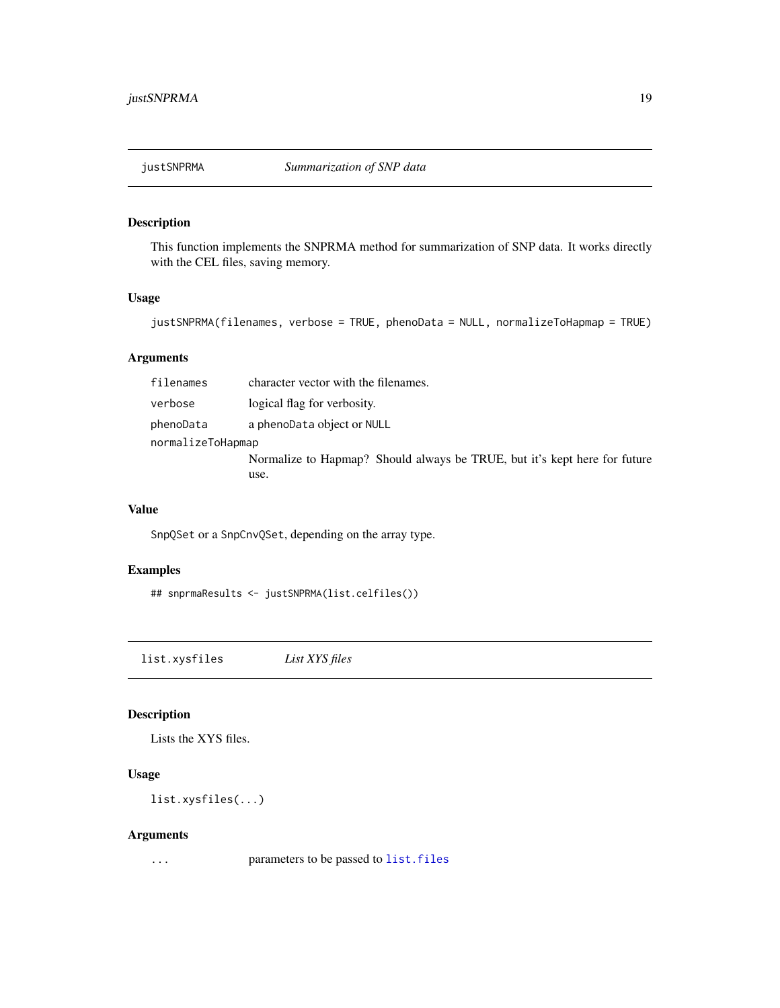<span id="page-18-0"></span>

# Description

This function implements the SNPRMA method for summarization of SNP data. It works directly with the CEL files, saving memory.

#### Usage

```
justSNPRMA(filenames, verbose = TRUE, phenoData = NULL, normalizeToHapmap = TRUE)
```
# Arguments

| filenames         | character vector with the filenames.                                      |
|-------------------|---------------------------------------------------------------------------|
| verbose           | logical flag for verbosity.                                               |
| phenoData         | a phenoData object or NULL                                                |
| normalizeToHapmap |                                                                           |
|                   | Normalize to Hapmap? Should always be TRUE, but it's kept here for future |
|                   | use.                                                                      |

# Value

SnpQSet or a SnpCnvQSet, depending on the array type.

# Examples

```
## snprmaResults <- justSNPRMA(list.celfiles())
```
<span id="page-18-1"></span>list.xysfiles *List XYS files*

# Description

Lists the XYS files.

#### Usage

list.xysfiles(...)

#### Arguments

... parameters to be passed to [list.files](#page-0-0)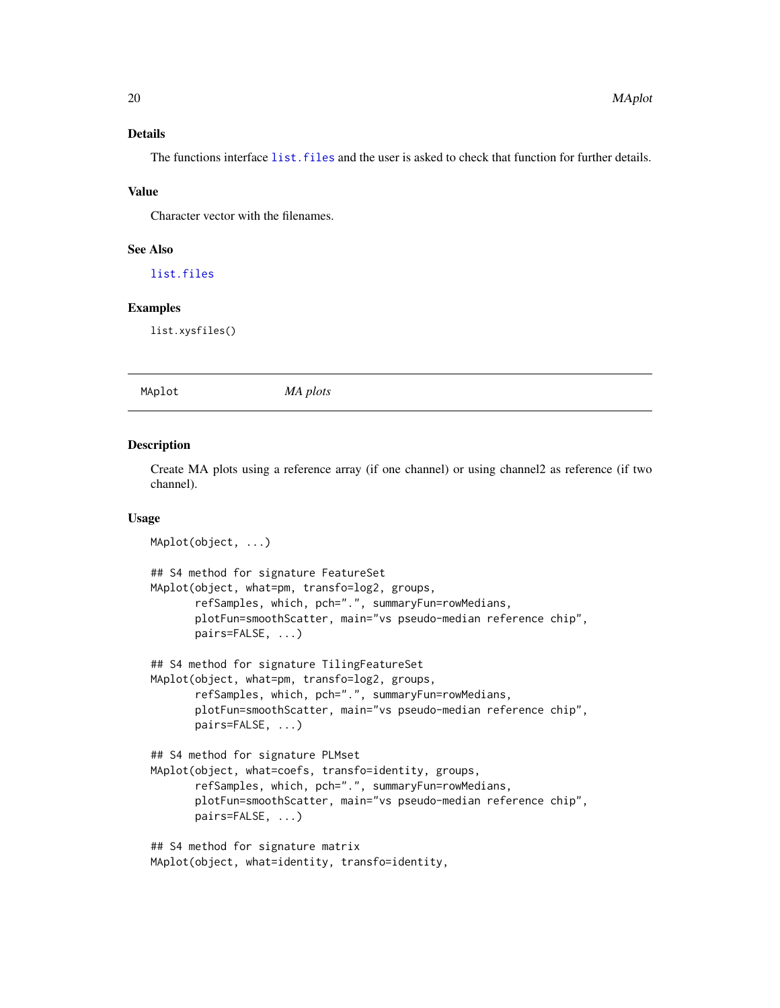# <span id="page-19-0"></span>Details

The functions interface list. files and the user is asked to check that function for further details.

#### Value

Character vector with the filenames.

# See Also

[list.files](#page-0-0)

# Examples

list.xysfiles()

MAplot *MA plots*

#### Description

Create MA plots using a reference array (if one channel) or using channel2 as reference (if two channel).

#### Usage

```
MAplot(object, ...)
## S4 method for signature FeatureSet
MAplot(object, what=pm, transfo=log2, groups,
       refSamples, which, pch=".", summaryFun=rowMedians,
       plotFun=smoothScatter, main="vs pseudo-median reference chip",
       pairs=FALSE, ...)
## S4 method for signature TilingFeatureSet
MAplot(object, what=pm, transfo=log2, groups,
       refSamples, which, pch=".", summaryFun=rowMedians,
       plotFun=smoothScatter, main="vs pseudo-median reference chip",
       pairs=FALSE, ...)
## S4 method for signature PLMset
MAplot(object, what=coefs, transfo=identity, groups,
       refSamples, which, pch=".", summaryFun=rowMedians,
       plotFun=smoothScatter, main="vs pseudo-median reference chip",
       pairs=FALSE, ...)
## S4 method for signature matrix
MAplot(object, what=identity, transfo=identity,
```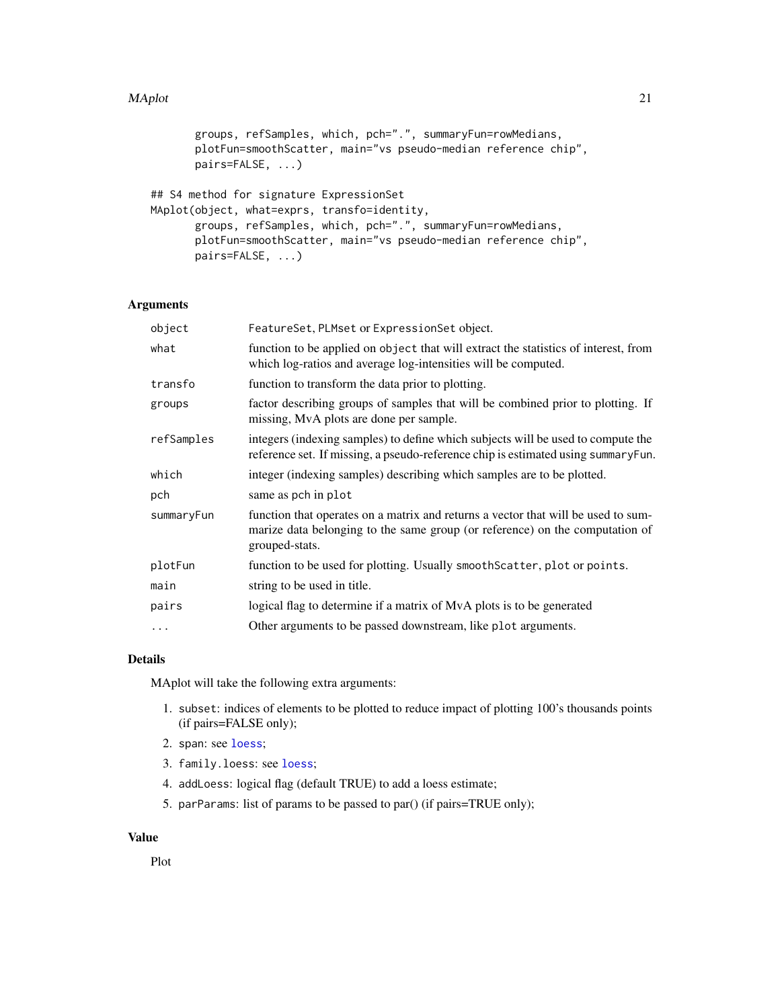#### MAplot 21

```
groups, refSamples, which, pch=".", summaryFun=rowMedians,
       plotFun=smoothScatter, main="vs pseudo-median reference chip",
       pairs=FALSE, ...)
## S4 method for signature ExpressionSet
MAplot(object, what=exprs, transfo=identity,
```

```
groups, refSamples, which, pch=".", summaryFun=rowMedians,
plotFun=smoothScatter, main="vs pseudo-median reference chip",
pairs=FALSE, ...)
```
# Arguments

| object     | FeatureSet, PLMset or ExpressionSet object.                                                                                                                                         |
|------------|-------------------------------------------------------------------------------------------------------------------------------------------------------------------------------------|
| what       | function to be applied on object that will extract the statistics of interest, from<br>which log-ratios and average log-intensities will be computed.                               |
| transfo    | function to transform the data prior to plotting.                                                                                                                                   |
| groups     | factor describing groups of samples that will be combined prior to plotting. If<br>missing, MvA plots are done per sample.                                                          |
| refSamples | integers (indexing samples) to define which subjects will be used to compute the<br>reference set. If missing, a pseudo-reference chip is estimated using summaryFun.               |
| which      | integer (indexing samples) describing which samples are to be plotted.                                                                                                              |
| pch        | same as pch in plot                                                                                                                                                                 |
| summaryFun | function that operates on a matrix and returns a vector that will be used to sum-<br>marize data belonging to the same group (or reference) on the computation of<br>grouped-stats. |
| plotFun    | function to be used for plotting. Usually smooth Scatter, plot or points.                                                                                                           |
| main       | string to be used in title.                                                                                                                                                         |
| pairs      | logical flag to determine if a matrix of MvA plots is to be generated                                                                                                               |
| $\cdots$   | Other arguments to be passed downstream, like plot arguments.                                                                                                                       |

# Details

MAplot will take the following extra arguments:

- 1. subset: indices of elements to be plotted to reduce impact of plotting 100's thousands points (if pairs=FALSE only);
- 2. span: see [loess](#page-0-0);
- 3. family.loess: see [loess](#page-0-0);
- 4. addLoess: logical flag (default TRUE) to add a loess estimate;
- 5. parParams: list of params to be passed to par() (if pairs=TRUE only);

#### Value

Plot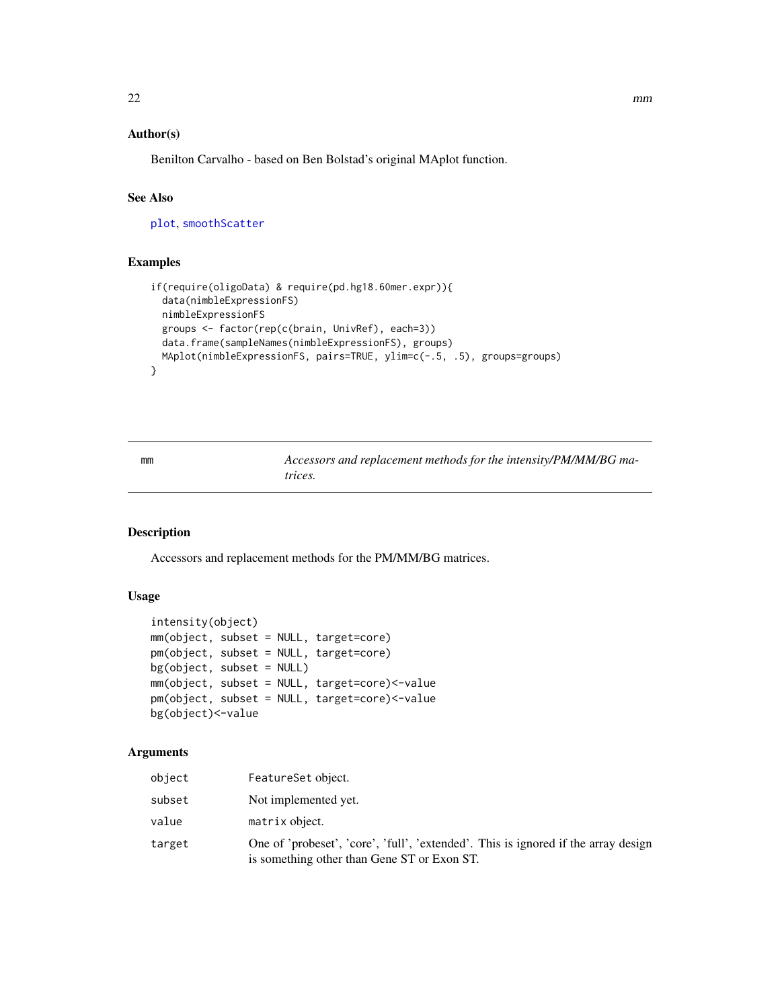# <span id="page-21-0"></span>Author(s)

Benilton Carvalho - based on Ben Bolstad's original MAplot function.

# See Also

[plot](#page-0-0), [smoothScatter](#page-0-0)

#### Examples

```
if(require(oligoData) & require(pd.hg18.60mer.expr)){
 data(nimbleExpressionFS)
 nimbleExpressionFS
 groups <- factor(rep(c(brain, UnivRef), each=3))
 data.frame(sampleNames(nimbleExpressionFS), groups)
 MAplot(nimbleExpressionFS, pairs=TRUE, ylim=c(-.5, .5), groups=groups)
}
```
mm *Accessors and replacement methods for the intensity/PM/MM/BG matrices.*

# Description

Accessors and replacement methods for the PM/MM/BG matrices.

# Usage

```
intensity(object)
mm(object, subset = NULL, target=core)
pm(object, subset = NULL, target=core)
bg(object, subset = NULL)
mm(object, subset = NULL, target=core)<-value
pm(object, subset = NULL, target=core)<-value
bg(object)<-value
```
#### Arguments

| object | FeatureSet object.                                                                                                                |
|--------|-----------------------------------------------------------------------------------------------------------------------------------|
| subset | Not implemented yet.                                                                                                              |
| value  | matrix object.                                                                                                                    |
| target | One of 'probeset', 'core', 'full', 'extended'. This is ignored if the array design<br>is something other than Gene ST or Exon ST. |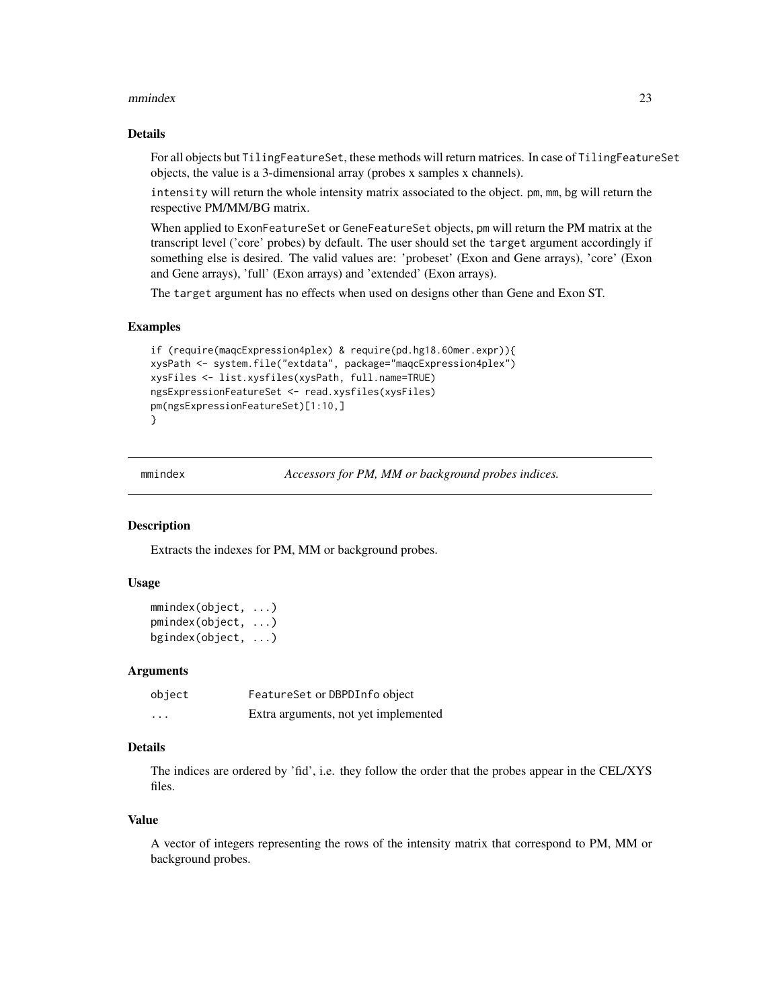#### <span id="page-22-0"></span>mmindex 23

#### Details

For all objects but TilingFeatureSet, these methods will return matrices. In case of TilingFeatureSet objects, the value is a 3-dimensional array (probes x samples x channels).

intensity will return the whole intensity matrix associated to the object. pm, mm, bg will return the respective PM/MM/BG matrix.

When applied to ExonFeatureSet or GeneFeatureSet objects, pm will return the PM matrix at the transcript level ('core' probes) by default. The user should set the target argument accordingly if something else is desired. The valid values are: 'probeset' (Exon and Gene arrays), 'core' (Exon and Gene arrays), 'full' (Exon arrays) and 'extended' (Exon arrays).

The target argument has no effects when used on designs other than Gene and Exon ST.

#### Examples

```
if (require(maqcExpression4plex) & require(pd.hg18.60mer.expr)){
xysPath <- system.file("extdata", package="maqcExpression4plex")
xysFiles <- list.xysfiles(xysPath, full.name=TRUE)
ngsExpressionFeatureSet <- read.xysfiles(xysFiles)
pm(ngsExpressionFeatureSet)[1:10,]
}
```
mmindex *Accessors for PM, MM or background probes indices.*

#### Description

Extracts the indexes for PM, MM or background probes.

# Usage

```
mmindex(object, ...)
pmindex(object, ...)
bgindex(object, ...)
```
#### Arguments

| object   | FeatureSet or DBPDInfo object        |
|----------|--------------------------------------|
| $\cdots$ | Extra arguments, not yet implemented |

#### Details

The indices are ordered by 'fid', i.e. they follow the order that the probes appear in the CEL/XYS files.

#### Value

A vector of integers representing the rows of the intensity matrix that correspond to PM, MM or background probes.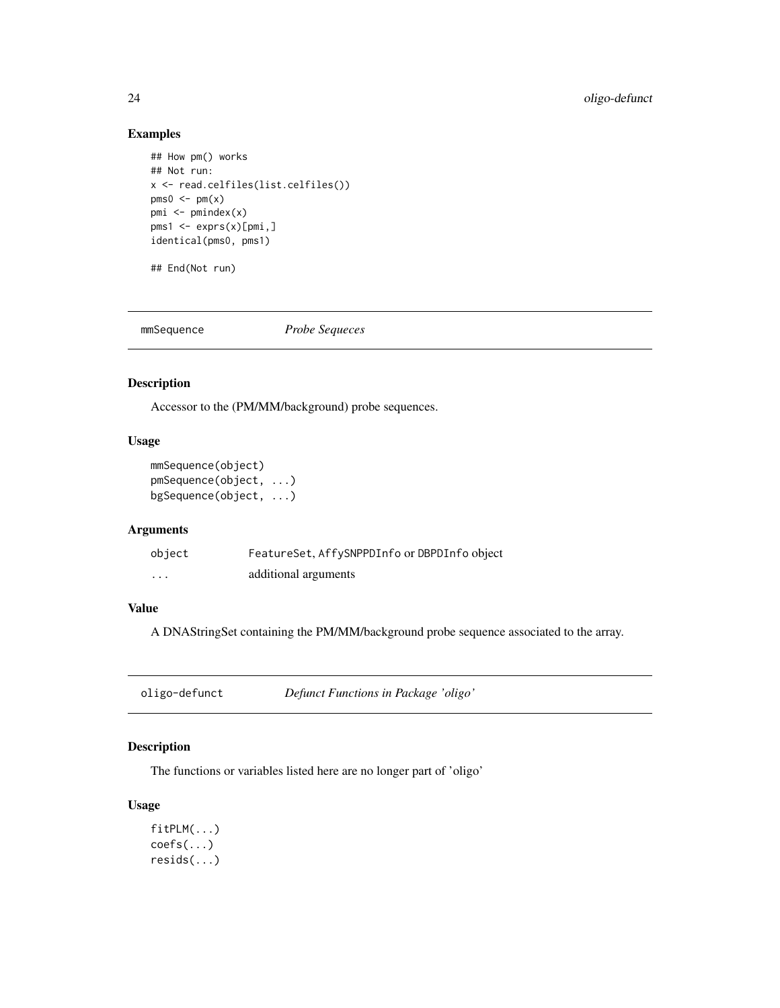# Examples

```
## How pm() works
## Not run:
x <- read.celfiles(list.celfiles())
pms0 \leq -pm(x)pmi <- pmindex(x)
pms1 <- exprs(x)[pmi,]
identical(pms0, pms1)
```
## End(Not run)

mmSequence *Probe Sequeces*

# Description

Accessor to the (PM/MM/background) probe sequences.

# Usage

```
mmSequence(object)
pmSequence(object, ...)
bgSequence(object, ...)
```
# Arguments

| object   | FeatureSet, AffySNPPDInfo or DBPDInfo object |
|----------|----------------------------------------------|
| $\cdots$ | additional arguments                         |

# Value

A DNAStringSet containing the PM/MM/background probe sequence associated to the array.

| oligo-defunct | Defunct Functions in Package 'oligo' |  |
|---------------|--------------------------------------|--|
|---------------|--------------------------------------|--|

# Description

The functions or variables listed here are no longer part of 'oligo'

# Usage

fitPLM(...) coefs(...) resids(...)

<span id="page-23-0"></span>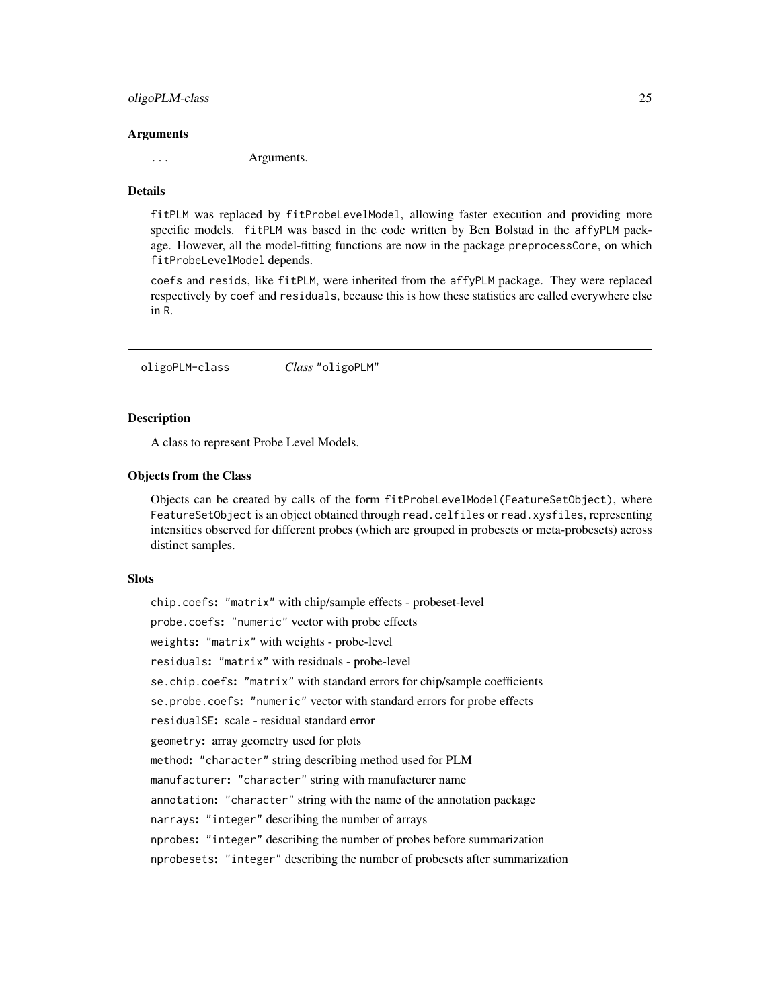#### <span id="page-24-0"></span>oligoPLM-class 25

#### Arguments

... Arguments.

# Details

fitPLM was replaced by fitProbeLevelModel, allowing faster execution and providing more specific models. fitPLM was based in the code written by Ben Bolstad in the affyPLM package. However, all the model-fitting functions are now in the package preprocessCore, on which fitProbeLevelModel depends.

coefs and resids, like fitPLM, were inherited from the affyPLM package. They were replaced respectively by coef and residuals, because this is how these statistics are called everywhere else in R.

oligoPLM-class *Class* "oligoPLM"

# <span id="page-24-1"></span>Description

A class to represent Probe Level Models.

#### Objects from the Class

Objects can be created by calls of the form fitProbeLevelModel(FeatureSetObject), where FeatureSetObject is an object obtained through read.celfiles or read.xysfiles, representing intensities observed for different probes (which are grouped in probesets or meta-probesets) across distinct samples.

#### Slots

chip.coefs: "matrix" with chip/sample effects - probeset-level probe.coefs: "numeric" vector with probe effects weights: "matrix" with weights - probe-level residuals: "matrix" with residuals - probe-level se.chip.coefs: "matrix" with standard errors for chip/sample coefficients se.probe.coefs: "numeric" vector with standard errors for probe effects residualSE: scale - residual standard error geometry: array geometry used for plots method: "character" string describing method used for PLM manufacturer: "character" string with manufacturer name annotation: "character" string with the name of the annotation package narrays: "integer" describing the number of arrays nprobes: "integer" describing the number of probes before summarization nprobesets: "integer" describing the number of probesets after summarization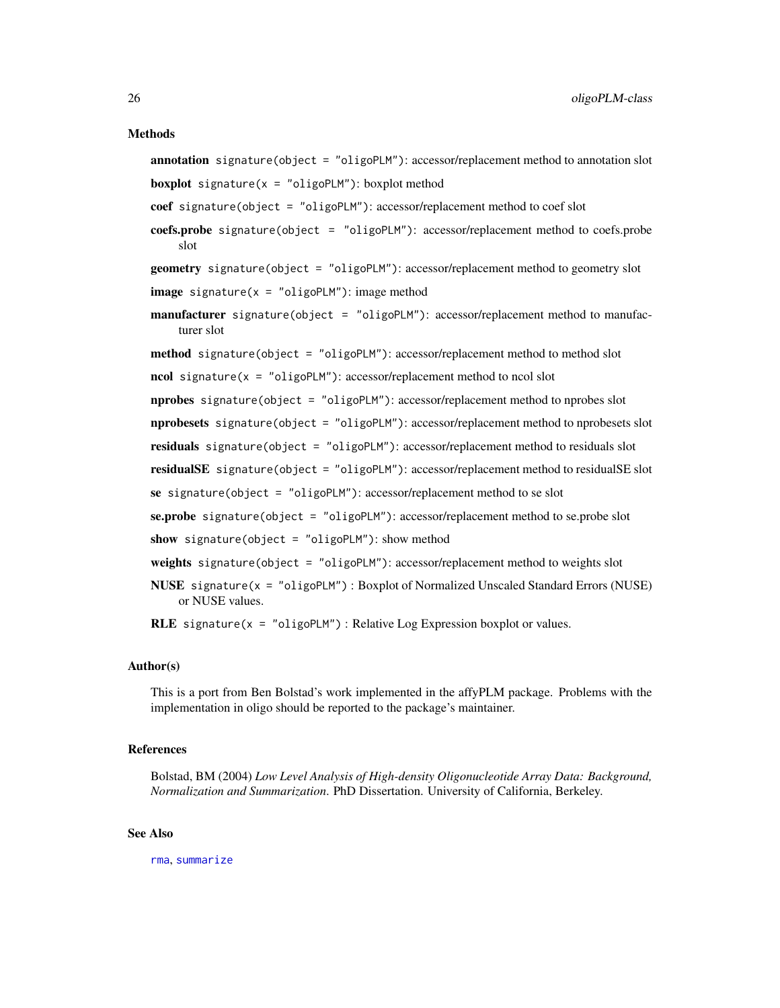#### Methods

- annotation signature(object = "oligoPLM"): accessor/replacement method to annotation slot **boxplot** signature( $x = "oligoPLM")$ : boxplot method
- coef signature(object = "oligoPLM"): accessor/replacement method to coef slot
- coefs.probe signature(object = "oligoPLM"): accessor/replacement method to coefs.probe slot

```
geometry signature(object = "oligoPLM"): accessor/replacement method to geometry slot
image signature(x = "oligoPLM"): image method
```
- manufacturer signature(object = "oligoPLM"): accessor/replacement method to manufacturer slot
- method signature(object = "oligoPLM"): accessor/replacement method to method slot

 $\text{ncol signature}(x = "oligoPLM")$ : accessor/replacement method to ncol slot

nprobes signature(object = "oligoPLM"): accessor/replacement method to nprobes slot

nprobesets signature(object = "oligoPLM"): accessor/replacement method to nprobesets slot

residuals signature(object = "oligoPLM"): accessor/replacement method to residuals slot

residualSE signature(object = "oligoPLM"): accessor/replacement method to residualSE slot

se signature(object = "oligoPLM"): accessor/replacement method to se slot

se.probe signature(object = "oligoPLM"): accessor/replacement method to se.probe slot

show signature(object = "oligoPLM"): show method

- weights signature(object = "oligoPLM"): accessor/replacement method to weights slot
- NUSE signature(x = "oligoPLM") : Boxplot of Normalized Unscaled Standard Errors (NUSE) or NUSE values.

RLE signature( $x = "oligoPLM")$ : Relative Log Expression boxplot or values.

#### Author(s)

This is a port from Ben Bolstad's work implemented in the affyPLM package. Problems with the implementation in oligo should be reported to the package's maintainer.

#### References

Bolstad, BM (2004) *Low Level Analysis of High-density Oligonucleotide Array Data: Background, Normalization and Summarization*. PhD Dissertation. University of California, Berkeley.

#### See Also

[rma](#page-34-1), [summarize](#page-38-2)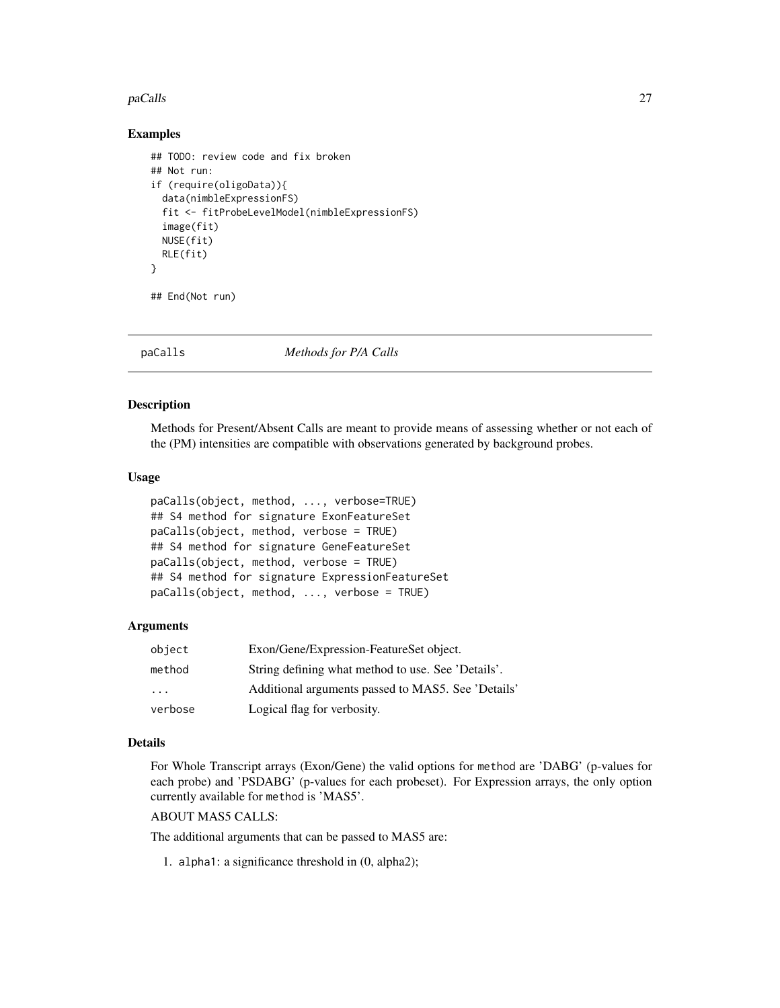#### <span id="page-26-0"></span>paCalls 27

#### Examples

```
## TODO: review code and fix broken
## Not run:
if (require(oligoData)){
  data(nimbleExpressionFS)
  fit <- fitProbeLevelModel(nimbleExpressionFS)
  image(fit)
  NUSE(fit)
  RLE(fit)
}
```
## End(Not run)

paCalls *Methods for P/A Calls*

#### Description

Methods for Present/Absent Calls are meant to provide means of assessing whether or not each of the (PM) intensities are compatible with observations generated by background probes.

#### Usage

```
paCalls(object, method, ..., verbose=TRUE)
## S4 method for signature ExonFeatureSet
paCalls(object, method, verbose = TRUE)
## S4 method for signature GeneFeatureSet
paCalls(object, method, verbose = TRUE)
## S4 method for signature ExpressionFeatureSet
paCalls(object, method, ..., verbose = TRUE)
```
#### Arguments

| object                  | Exon/Gene/Expression-FeatureSet object.            |  |
|-------------------------|----------------------------------------------------|--|
| method                  | String defining what method to use. See 'Details'. |  |
| $\cdot$ $\cdot$ $\cdot$ | Additional arguments passed to MAS5. See 'Details' |  |
| verbose                 | Logical flag for verbosity.                        |  |

#### Details

For Whole Transcript arrays (Exon/Gene) the valid options for method are 'DABG' (p-values for each probe) and 'PSDABG' (p-values for each probeset). For Expression arrays, the only option currently available for method is 'MAS5'.

# ABOUT MAS5 CALLS:

The additional arguments that can be passed to MAS5 are:

1. alpha1: a significance threshold in (0, alpha2);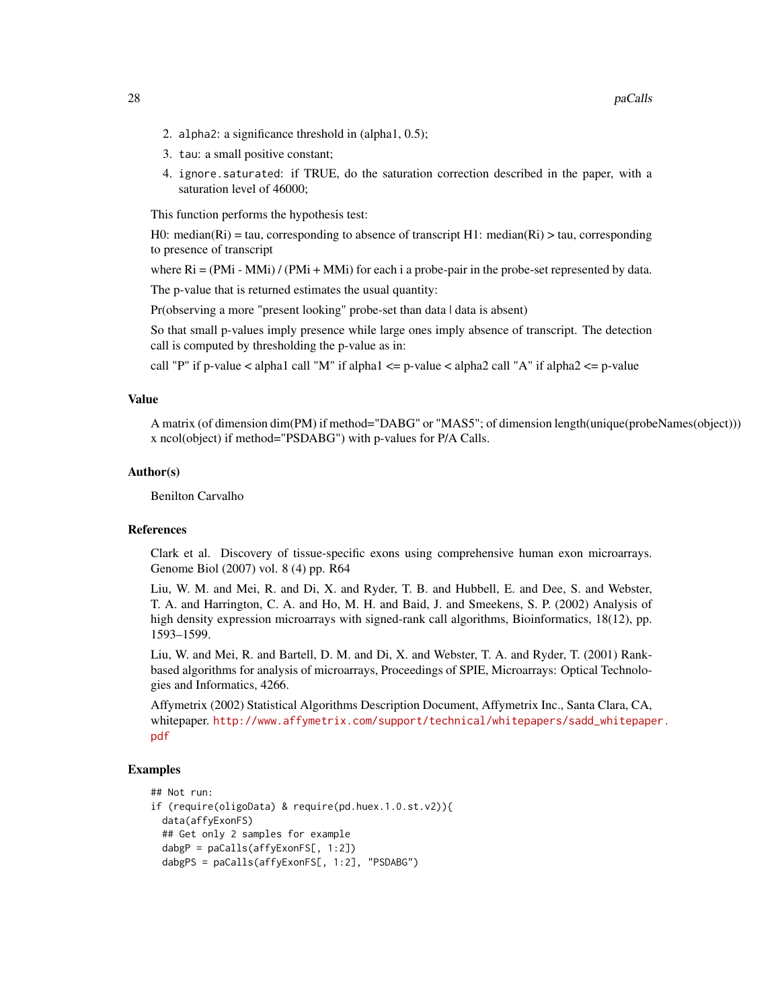- 2. alpha2: a significance threshold in (alpha1, 0.5);
- 3. tau: a small positive constant;
- 4. ignore.saturated: if TRUE, do the saturation correction described in the paper, with a saturation level of 46000;

This function performs the hypothesis test:

H0: median(Ri) = tau, corresponding to absence of transcript H1: median(Ri) > tau, corresponding to presence of transcript

where  $Ri = (PMi - MMi) / (PMi + MMi)$  for each i a probe-pair in the probe-set represented by data.

The p-value that is returned estimates the usual quantity:

Pr(observing a more "present looking" probe-set than data | data is absent)

So that small p-values imply presence while large ones imply absence of transcript. The detection call is computed by thresholding the p-value as in:

call "P" if p-value  $\lt$  alpha1 call "M" if alpha1  $\lt$  = p-value  $\lt$  alpha2 call "A" if alpha2  $\lt$  = p-value

#### Value

A matrix (of dimension dim(PM) if method="DABG" or "MAS5"; of dimension length(unique(probeNames(object))) x ncol(object) if method="PSDABG") with p-values for P/A Calls.

#### Author(s)

Benilton Carvalho

#### **References**

Clark et al. Discovery of tissue-specific exons using comprehensive human exon microarrays. Genome Biol (2007) vol. 8 (4) pp. R64

Liu, W. M. and Mei, R. and Di, X. and Ryder, T. B. and Hubbell, E. and Dee, S. and Webster, T. A. and Harrington, C. A. and Ho, M. H. and Baid, J. and Smeekens, S. P. (2002) Analysis of high density expression microarrays with signed-rank call algorithms, Bioinformatics, 18(12), pp. 1593–1599.

Liu, W. and Mei, R. and Bartell, D. M. and Di, X. and Webster, T. A. and Ryder, T. (2001) Rankbased algorithms for analysis of microarrays, Proceedings of SPIE, Microarrays: Optical Technologies and Informatics, 4266.

Affymetrix (2002) Statistical Algorithms Description Document, Affymetrix Inc., Santa Clara, CA, whitepaper. [http://www.affymetrix.com/support/technical/whitepapers/sadd\\_whitepape](http://www.affymetrix.com/support/technical/whitepapers/sadd_whitepaper.pdf)r. [pdf](http://www.affymetrix.com/support/technical/whitepapers/sadd_whitepaper.pdf)

#### Examples

```
## Not run:
if (require(oligoData) & require(pd.huex.1.0.st.v2)){
 data(affyExonFS)
 ## Get only 2 samples for example
 dabgP = paCalls(affyExonFS[, 1:2])
 dabgPS = paCalls(affyExonFS[, 1:2], "PSDABG")
```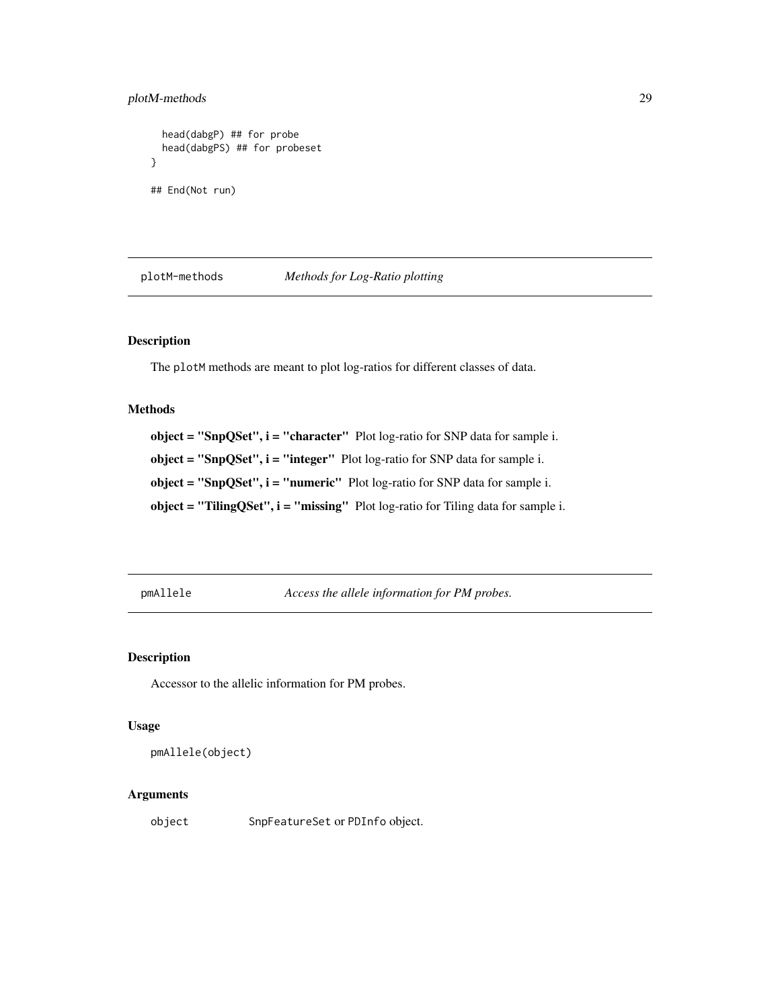# <span id="page-28-0"></span>plotM-methods 29

```
head(dabgP) ## for probe
 head(dabgPS) ## for probeset
}
## End(Not run)
```
plotM-methods *Methods for Log-Ratio plotting*

# Description

The plotM methods are meant to plot log-ratios for different classes of data.

#### Methods

 $object = "SnpQSet", i = "character" Plot log-ratio for SNP data for sample i.$ object = "SnpQSet", i = "integer" Plot log-ratio for SNP data for sample i. object = "SnpQSet", i = "numeric" Plot log-ratio for SNP data for sample i. object = "TilingQSet",  $i$  = "missing" Plot log-ratio for Tiling data for sample i.

pmAllele *Access the allele information for PM probes.*

# Description

Accessor to the allelic information for PM probes.

#### Usage

```
pmAllele(object)
```
# Arguments

object SnpFeatureSet or PDInfo object.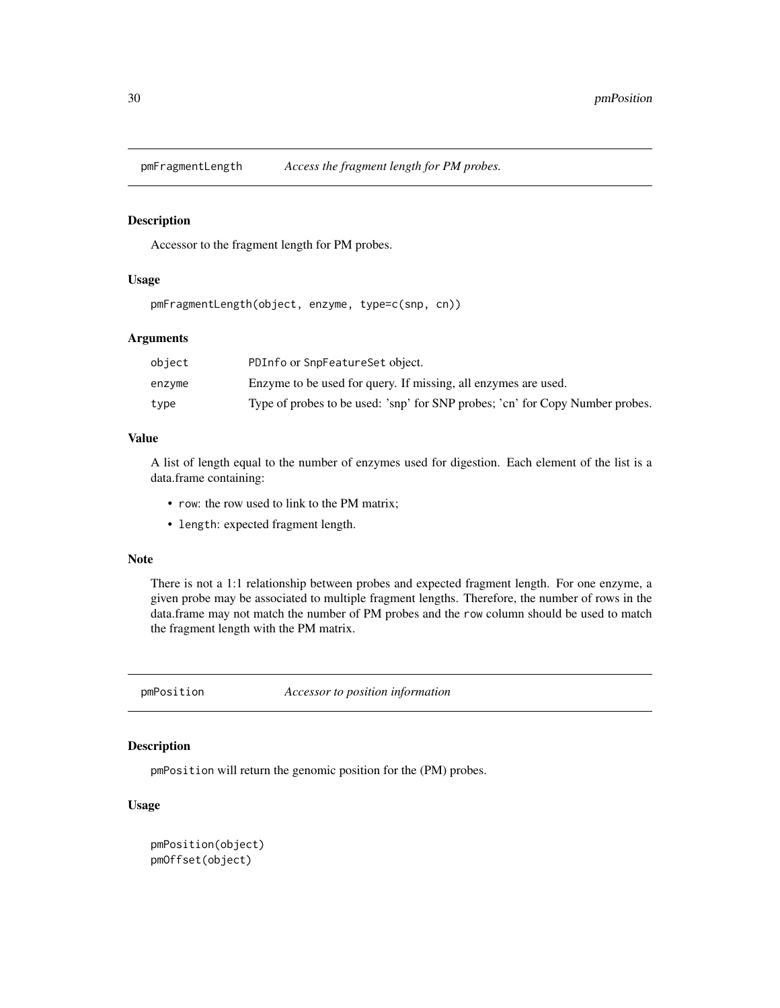<span id="page-29-0"></span>

#### Description

Accessor to the fragment length for PM probes.

# Usage

pmFragmentLength(object, enzyme, type=c(snp, cn))

#### Arguments

| object | PDInfo or SnpFeatureSet object.                                               |
|--------|-------------------------------------------------------------------------------|
| enzvme | Enzyme to be used for query. If missing, all enzymes are used.                |
| type   | Type of probes to be used: 'snp' for SNP probes; 'cn' for Copy Number probes. |

# Value

A list of length equal to the number of enzymes used for digestion. Each element of the list is a data.frame containing:

- row: the row used to link to the PM matrix;
- length: expected fragment length.

#### Note

There is not a 1:1 relationship between probes and expected fragment length. For one enzyme, a given probe may be associated to multiple fragment lengths. Therefore, the number of rows in the data.frame may not match the number of PM probes and the row column should be used to match the fragment length with the PM matrix.

pmPosition *Accessor to position information*

#### Description

pmPosition will return the genomic position for the (PM) probes.

#### Usage

```
pmPosition(object)
pmOffset(object)
```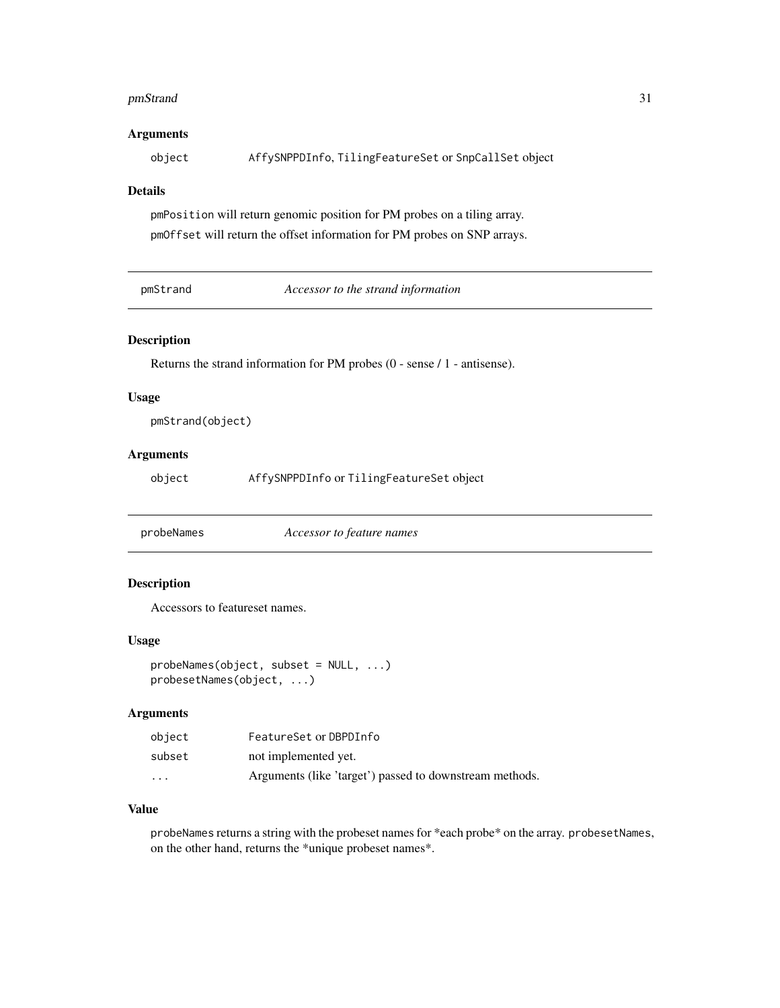#### <span id="page-30-0"></span>pmStrand 31

# Arguments

object AffySNPPDInfo, TilingFeatureSet or SnpCallSet object

# Details

pmPosition will return genomic position for PM probes on a tiling array. pmOffset will return the offset information for PM probes on SNP arrays.

pmStrand *Accessor to the strand information*

#### Description

Returns the strand information for PM probes (0 - sense / 1 - antisense).

#### Usage

pmStrand(object)

# Arguments

object AffySNPPDInfo or TilingFeatureSet object

probeNames *Accessor to feature names*

# Description

Accessors to featureset names.

#### Usage

```
probeNames(object, subset = NULL, ...)
probesetNames(object, ...)
```
# Arguments

| object   | FeatureSet or DBPDInfo                                  |
|----------|---------------------------------------------------------|
| subset   | not implemented yet.                                    |
| $\cdots$ | Arguments (like 'target') passed to downstream methods. |

#### Value

probeNames returns a string with the probeset names for \*each probe\* on the array. probesetNames, on the other hand, returns the \*unique probeset names\*.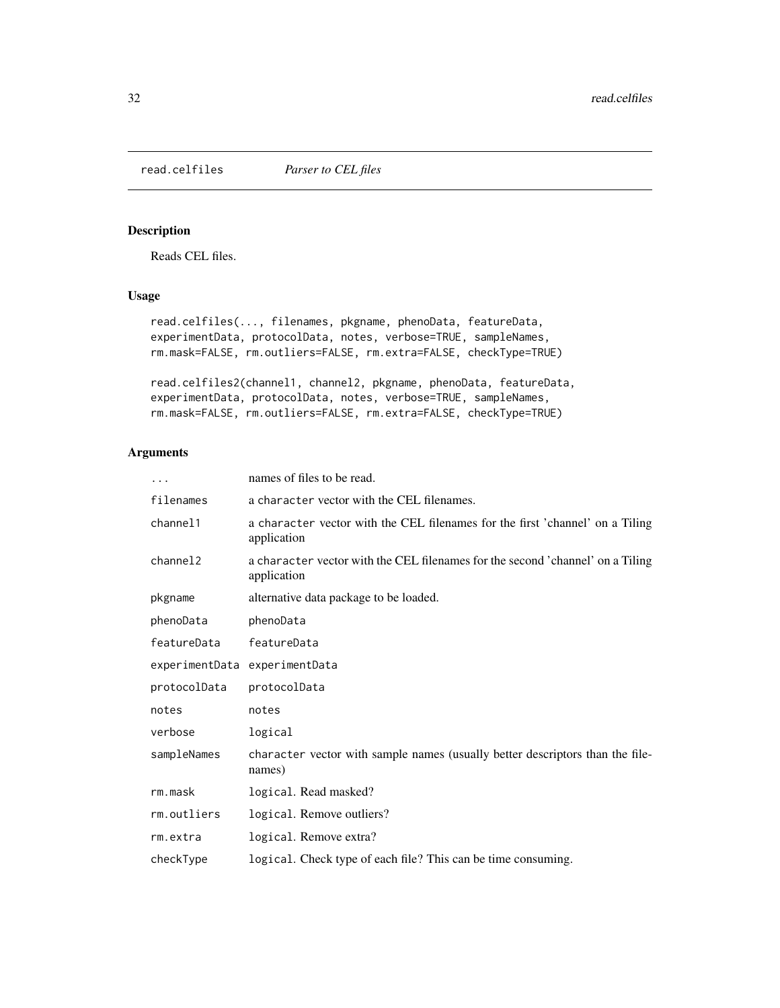<span id="page-31-1"></span><span id="page-31-0"></span>read.celfiles *Parser to CEL files*

# Description

Reads CEL files.

# Usage

```
read.celfiles(..., filenames, pkgname, phenoData, featureData,
experimentData, protocolData, notes, verbose=TRUE, sampleNames,
rm.mask=FALSE, rm.outliers=FALSE, rm.extra=FALSE, checkType=TRUE)
```

```
read.celfiles2(channel1, channel2, pkgname, phenoData, featureData,
experimentData, protocolData, notes, verbose=TRUE, sampleNames,
rm.mask=FALSE, rm.outliers=FALSE, rm.extra=FALSE, checkType=TRUE)
```
# Arguments

| $\cdots$     | names of files to be read.                                                                    |
|--------------|-----------------------------------------------------------------------------------------------|
| filenames    | a character vector with the CEL filenames.                                                    |
| channel1     | a character vector with the CEL filenames for the first 'channel' on a Tiling<br>application  |
| channel2     | a character vector with the CEL filenames for the second 'channel' on a Tiling<br>application |
| pkgname      | alternative data package to be loaded.                                                        |
| phenoData    | phenoData                                                                                     |
| featureData  | featureData                                                                                   |
|              | experimentData experimentData                                                                 |
| protocolData | protocolData                                                                                  |
| notes        | notes                                                                                         |
| verbose      | logical                                                                                       |
| sampleNames  | character vector with sample names (usually better descriptors than the file-<br>names)       |
| rm.mask      | logical. Read masked?                                                                         |
| rm.outliers  | logical. Remove outliers?                                                                     |
| rm.extra     | logical. Remove extra?                                                                        |
| checkType    | logical. Check type of each file? This can be time consuming.                                 |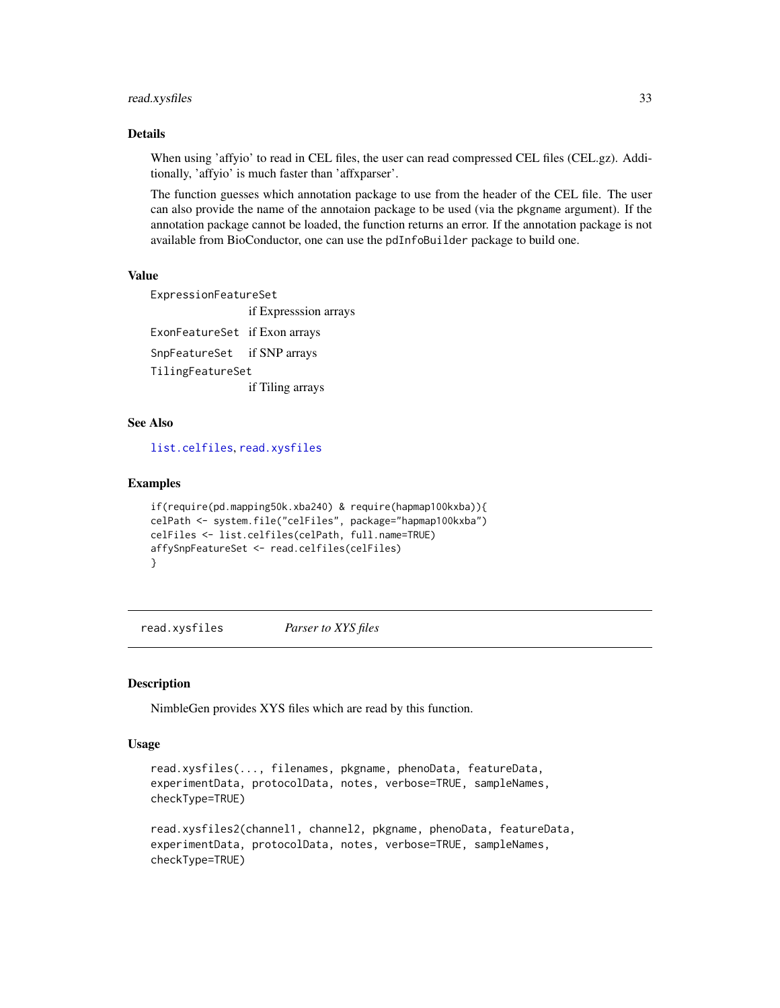# <span id="page-32-0"></span>read.xysfiles 33

#### Details

When using 'affyio' to read in CEL files, the user can read compressed CEL files (CEL.gz). Additionally, 'affyio' is much faster than 'affxparser'.

The function guesses which annotation package to use from the header of the CEL file. The user can also provide the name of the annotaion package to be used (via the pkgname argument). If the annotation package cannot be loaded, the function returns an error. If the annotation package is not available from BioConductor, one can use the pdInfoBuilder package to build one.

#### Value

ExpressionFeatureSet if Expresssion arrays ExonFeatureSet if Exon arrays SnpFeatureSet if SNP arrays TilingFeatureSet if Tiling arrays

#### See Also

[list.celfiles](#page-0-0), [read.xysfiles](#page-32-1)

#### Examples

```
if(require(pd.mapping50k.xba240) & require(hapmap100kxba)){
celPath <- system.file("celFiles", package="hapmap100kxba")
celFiles <- list.celfiles(celPath, full.name=TRUE)
affySnpFeatureSet <- read.celfiles(celFiles)
}
```
<span id="page-32-1"></span>read.xysfiles *Parser to XYS files*

#### Description

NimbleGen provides XYS files which are read by this function.

#### Usage

```
read.xysfiles(..., filenames, pkgname, phenoData, featureData,
experimentData, protocolData, notes, verbose=TRUE, sampleNames,
checkType=TRUE)
```

```
read.xysfiles2(channel1, channel2, pkgname, phenoData, featureData,
experimentData, protocolData, notes, verbose=TRUE, sampleNames,
checkType=TRUE)
```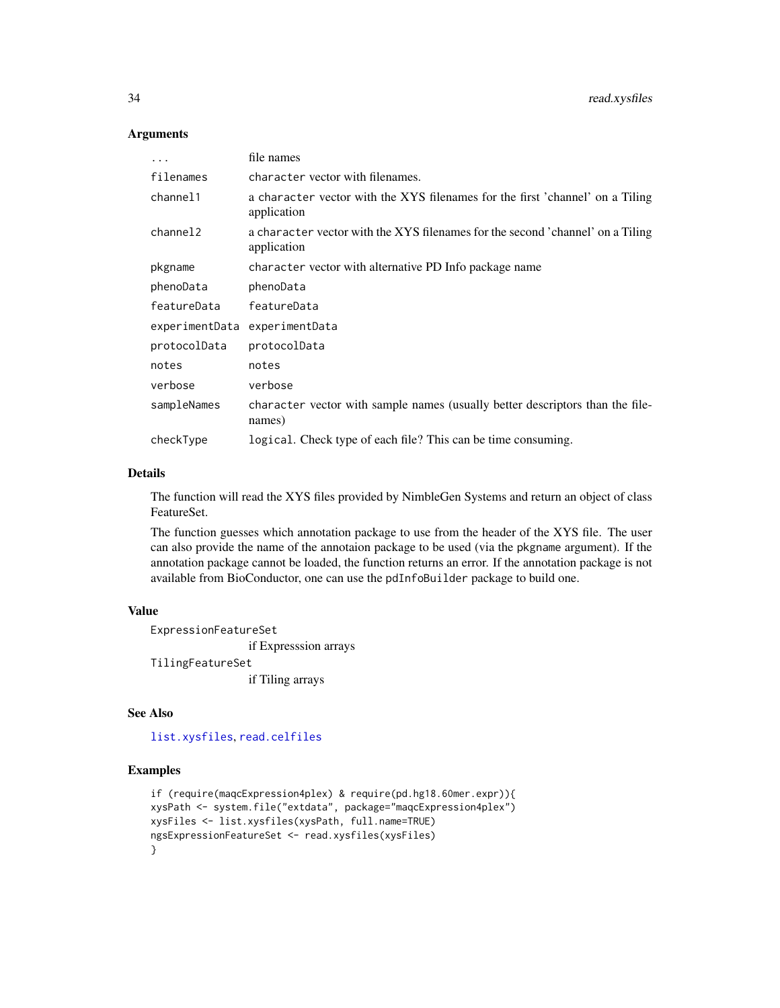#### Arguments

| .                    | file names                                                                                    |
|----------------------|-----------------------------------------------------------------------------------------------|
| filenames            | character vector with filenames.                                                              |
| channel1             | a character vector with the XYS filenames for the first 'channel' on a Tiling<br>application  |
| channel <sub>2</sub> | a character vector with the XYS filenames for the second 'channel' on a Tiling<br>application |
| pkgname              | character vector with alternative PD Info package name                                        |
| phenoData            | phenoData                                                                                     |
| featureData          | featureData                                                                                   |
| experimentData       | experimentData                                                                                |
| protocolData         | protocolData                                                                                  |
| notes                | notes                                                                                         |
| verbose              | verbose                                                                                       |
| sampleNames          | character vector with sample names (usually better descriptors than the file-<br>names)       |
| checkType            | logical. Check type of each file? This can be time consuming.                                 |

#### Details

The function will read the XYS files provided by NimbleGen Systems and return an object of class FeatureSet.

The function guesses which annotation package to use from the header of the XYS file. The user can also provide the name of the annotaion package to be used (via the pkgname argument). If the annotation package cannot be loaded, the function returns an error. If the annotation package is not available from BioConductor, one can use the pdInfoBuilder package to build one.

#### Value

ExpressionFeatureSet if Expresssion arrays TilingFeatureSet if Tiling arrays

#### See Also

[list.xysfiles](#page-18-1), [read.celfiles](#page-31-1)

# Examples

```
if (require(maqcExpression4plex) & require(pd.hg18.60mer.expr)){
xysPath <- system.file("extdata", package="maqcExpression4plex")
xysFiles <- list.xysfiles(xysPath, full.name=TRUE)
ngsExpressionFeatureSet <- read.xysfiles(xysFiles)
}
```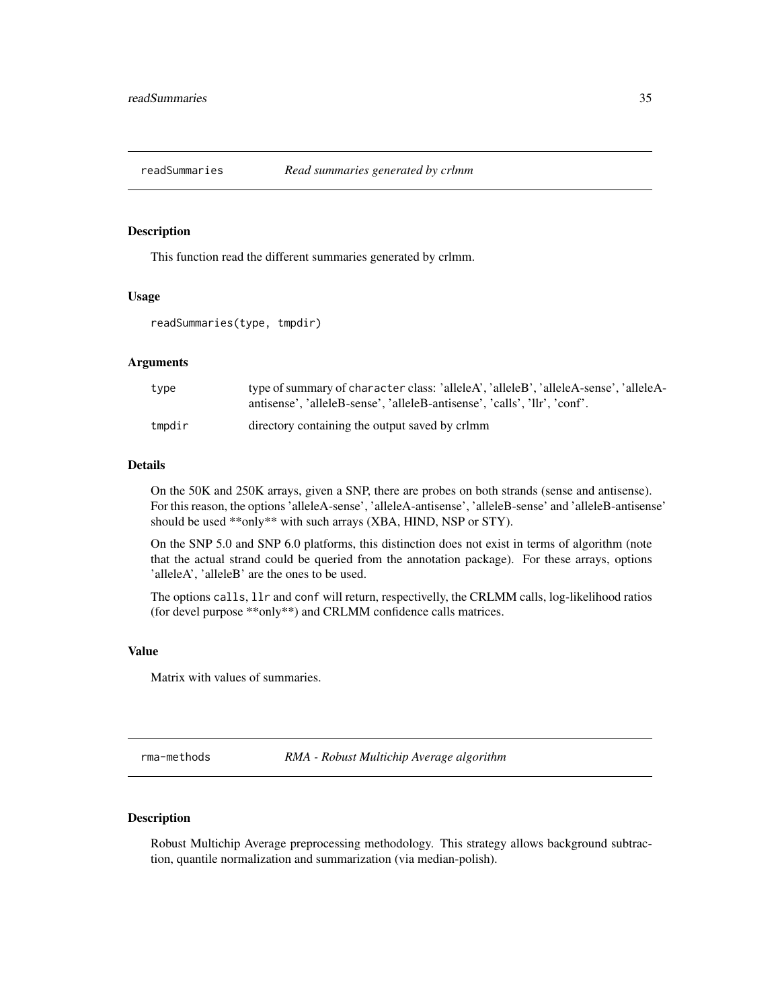<span id="page-34-0"></span>

#### Description

This function read the different summaries generated by crlmm.

#### Usage

```
readSummaries(type, tmpdir)
```
#### Arguments

| type   | type of summary of character class: 'alleleA', 'alleleB', 'alleleA-sense', 'alleleA-<br>antisense', 'alleleB-sense', 'alleleB-antisense', 'calls', 'llr', 'conf'. |
|--------|-------------------------------------------------------------------------------------------------------------------------------------------------------------------|
| tmpdir | directory containing the output saved by crimm                                                                                                                    |

#### Details

On the 50K and 250K arrays, given a SNP, there are probes on both strands (sense and antisense). For this reason, the options 'alleleA-sense', 'alleleA-antisense', 'alleleB-sense' and 'alleleB-antisense' should be used \*\*only\*\* with such arrays (XBA, HIND, NSP or STY).

On the SNP 5.0 and SNP 6.0 platforms, this distinction does not exist in terms of algorithm (note that the actual strand could be queried from the annotation package). For these arrays, options 'alleleA', 'alleleB' are the ones to be used.

The options calls, llr and conf will return, respectivelly, the CRLMM calls, log-likelihood ratios (for devel purpose \*\*only\*\*) and CRLMM confidence calls matrices.

# Value

Matrix with values of summaries.

rma-methods *RMA - Robust Multichip Average algorithm*

# <span id="page-34-1"></span>Description

Robust Multichip Average preprocessing methodology. This strategy allows background subtraction, quantile normalization and summarization (via median-polish).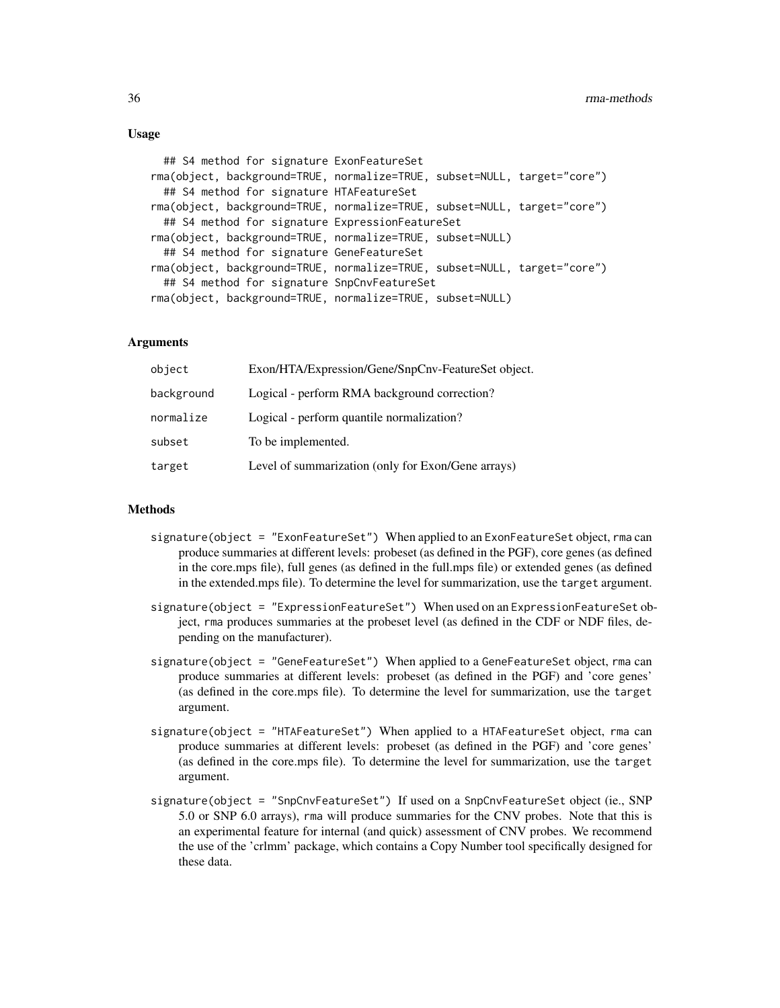#### Usage

```
## S4 method for signature ExonFeatureSet
rma(object, background=TRUE, normalize=TRUE, subset=NULL, target="core")
 ## S4 method for signature HTAFeatureSet
rma(object, background=TRUE, normalize=TRUE, subset=NULL, target="core")
 ## S4 method for signature ExpressionFeatureSet
rma(object, background=TRUE, normalize=TRUE, subset=NULL)
 ## S4 method for signature GeneFeatureSet
rma(object, background=TRUE, normalize=TRUE, subset=NULL, target="core")
 ## S4 method for signature SnpCnvFeatureSet
rma(object, background=TRUE, normalize=TRUE, subset=NULL)
```
#### **Arguments**

| object     | Exon/HTA/Expression/Gene/SnpCnv-FeatureSet object. |
|------------|----------------------------------------------------|
| background | Logical - perform RMA background correction?       |
| normalize  | Logical - perform quantile normalization?          |
| subset     | To be implemented.                                 |
| target     | Level of summarization (only for Exon/Gene arrays) |

#### Methods

- signature(object = "ExonFeatureSet") When applied to an ExonFeatureSet object, rma can produce summaries at different levels: probeset (as defined in the PGF), core genes (as defined in the core.mps file), full genes (as defined in the full.mps file) or extended genes (as defined in the extended.mps file). To determine the level for summarization, use the target argument.
- signature(object = "ExpressionFeatureSet") When used on an ExpressionFeatureSet object, rma produces summaries at the probeset level (as defined in the CDF or NDF files, depending on the manufacturer).
- signature(object = "GeneFeatureSet") When applied to a GeneFeatureSet object, rma can produce summaries at different levels: probeset (as defined in the PGF) and 'core genes' (as defined in the core.mps file). To determine the level for summarization, use the target argument.
- signature(object = "HTAFeatureSet") When applied to a HTAFeatureSet object, rma can produce summaries at different levels: probeset (as defined in the PGF) and 'core genes' (as defined in the core.mps file). To determine the level for summarization, use the target argument.
- signature(object = "SnpCnvFeatureSet") If used on a SnpCnvFeatureSet object (ie., SNP 5.0 or SNP 6.0 arrays), rma will produce summaries for the CNV probes. Note that this is an experimental feature for internal (and quick) assessment of CNV probes. We recommend the use of the 'crlmm' package, which contains a Copy Number tool specifically designed for these data.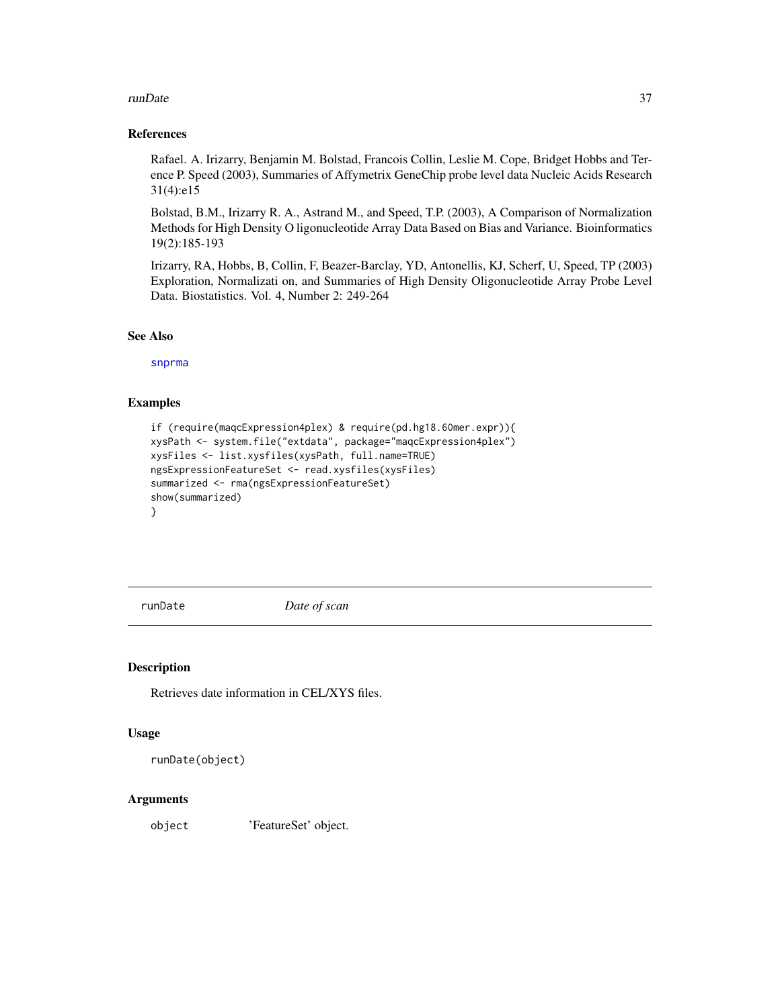#### <span id="page-36-0"></span>runDate 37

#### References

Rafael. A. Irizarry, Benjamin M. Bolstad, Francois Collin, Leslie M. Cope, Bridget Hobbs and Terence P. Speed (2003), Summaries of Affymetrix GeneChip probe level data Nucleic Acids Research 31(4):e15

Bolstad, B.M., Irizarry R. A., Astrand M., and Speed, T.P. (2003), A Comparison of Normalization Methods for High Density O ligonucleotide Array Data Based on Bias and Variance. Bioinformatics 19(2):185-193

Irizarry, RA, Hobbs, B, Collin, F, Beazer-Barclay, YD, Antonellis, KJ, Scherf, U, Speed, TP (2003) Exploration, Normalizati on, and Summaries of High Density Oligonucleotide Array Probe Level Data. Biostatistics. Vol. 4, Number 2: 249-264

# See Also

[snprma](#page-37-1)

# Examples

```
if (require(maqcExpression4plex) & require(pd.hg18.60mer.expr)){
xysPath <- system.file("extdata", package="maqcExpression4plex")
xysFiles <- list.xysfiles(xysPath, full.name=TRUE)
ngsExpressionFeatureSet <- read.xysfiles(xysFiles)
summarized <- rma(ngsExpressionFeatureSet)
show(summarized)
}
```
runDate *Date of scan*

# Description

Retrieves date information in CEL/XYS files.

# Usage

```
runDate(object)
```
#### **Arguments**

object 'FeatureSet' object.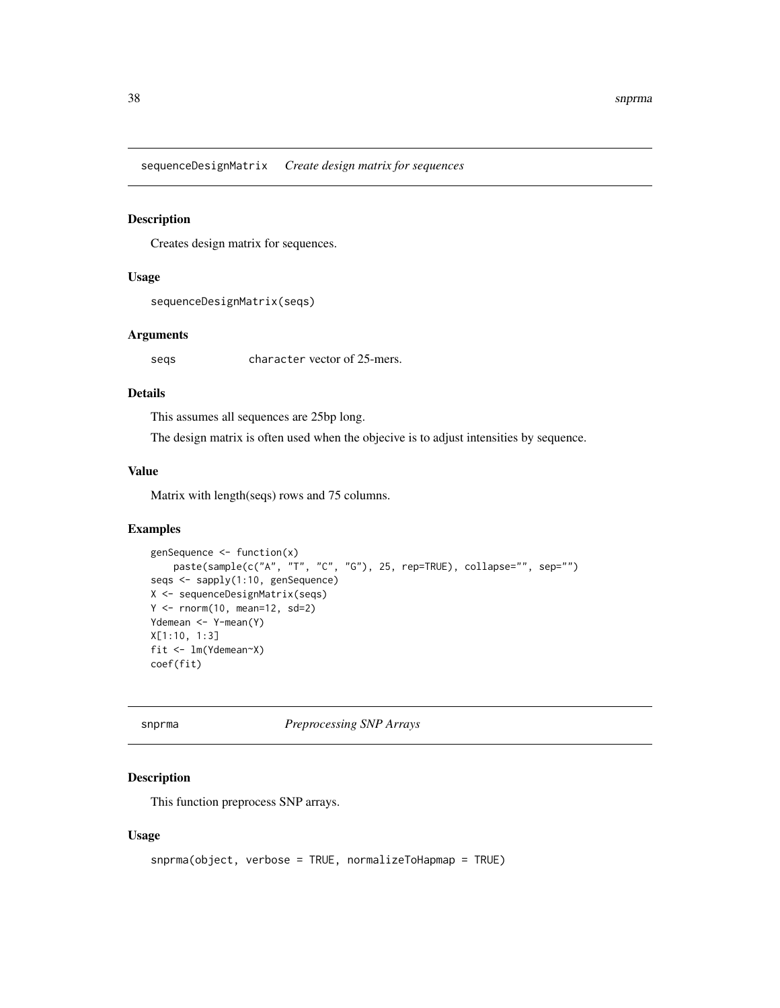<span id="page-37-0"></span>sequenceDesignMatrix *Create design matrix for sequences*

# Description

Creates design matrix for sequences.

#### Usage

sequenceDesignMatrix(seqs)

# Arguments

seqs character vector of 25-mers.

# Details

This assumes all sequences are 25bp long.

The design matrix is often used when the objecive is to adjust intensities by sequence.

# Value

Matrix with length(seqs) rows and 75 columns.

#### Examples

```
genSequence <- function(x)
    paste(sample(c("A", "T", "C", "G"), 25, rep=TRUE), collapse="", sep="")
seqs <- sapply(1:10, genSequence)
X <- sequenceDesignMatrix(seqs)
Y \le - rnorm(10, \text{ mean=}12, \text{ sd=}2)Ydemean <- Y-mean(Y)
X[1:10, 1:3]
fit <- lm(Ydemean~X)
coef(fit)
```
<span id="page-37-1"></span>

snprma *Preprocessing SNP Arrays*

# Description

This function preprocess SNP arrays.

#### Usage

```
snprma(object, verbose = TRUE, normalizeToHapmap = TRUE)
```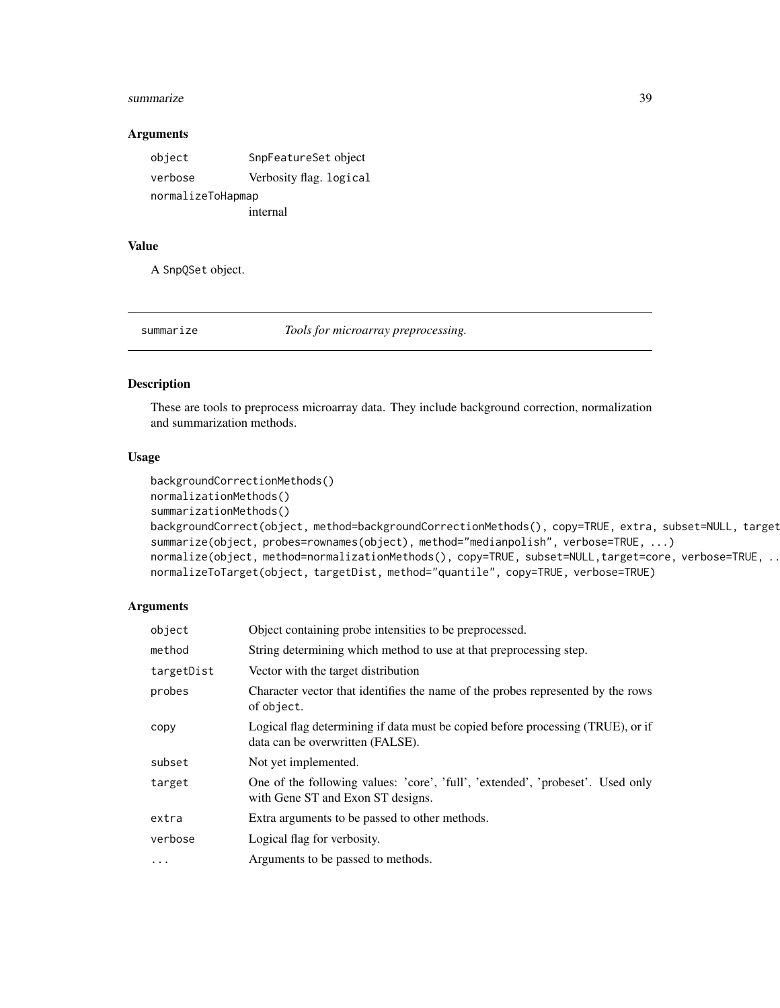#### <span id="page-38-0"></span>summarize 39

#### Arguments

| object            | SnpFeatureSet object    |
|-------------------|-------------------------|
| verbose           | Verbosity flag. logical |
| normalizeToHapmap |                         |
|                   | internal                |

# Value

A SnpQSet object.

<span id="page-38-2"></span>

summarize *Tools for microarray preprocessing.*

# <span id="page-38-1"></span>Description

These are tools to preprocess microarray data. They include background correction, normalization and summarization methods.

#### Usage

```
backgroundCorrectionMethods()
normalizationMethods()
summarizationMethods()
backgroundCorrect(object, method=backgroundCorrectionMethods(), copy=TRUE, extra, subset=NULL, target
summarize(object, probes=rownames(object), method="medianpolish", verbose=TRUE, ...)
normalize(object, method=normalizationMethods(), copy=TRUE, subset=NULL,target=core, verbose=TRUE, ...)
normalizeToTarget(object, targetDist, method="quantile", copy=TRUE, verbose=TRUE)
```
# Arguments

| object     | Object containing probe intensities to be preprocessed.                                                             |
|------------|---------------------------------------------------------------------------------------------------------------------|
| method     | String determining which method to use at that preprocessing step.                                                  |
| targetDist | Vector with the target distribution                                                                                 |
| probes     | Character vector that identifies the name of the probes represented by the rows<br>of object.                       |
| copy       | Logical flag determining if data must be copied before processing (TRUE), or if<br>data can be overwritten (FALSE). |
| subset     | Not yet implemented.                                                                                                |
| target     | One of the following values: 'core', 'full', 'extended', 'probeset'. Used only<br>with Gene ST and Exon ST designs. |
| extra      | Extra arguments to be passed to other methods.                                                                      |
| verbose    | Logical flag for verbosity.                                                                                         |
| $\cdots$   | Arguments to be passed to methods.                                                                                  |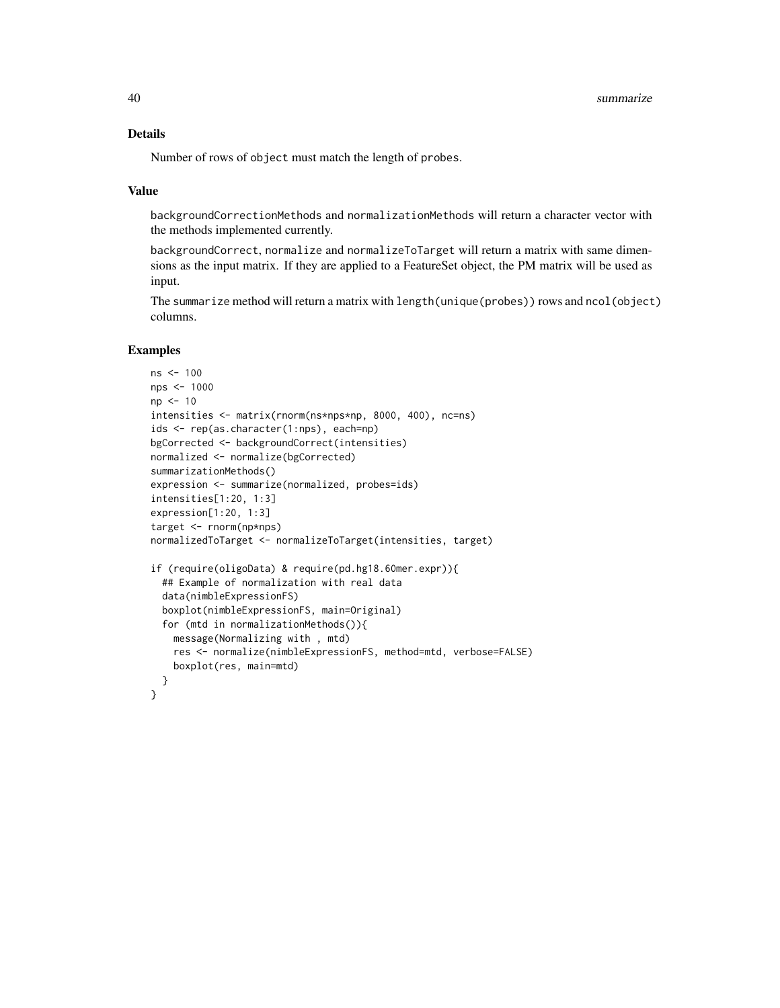# Details

Number of rows of object must match the length of probes.

#### Value

backgroundCorrectionMethods and normalizationMethods will return a character vector with the methods implemented currently.

backgroundCorrect, normalize and normalizeToTarget will return a matrix with same dimensions as the input matrix. If they are applied to a FeatureSet object, the PM matrix will be used as input.

The summarize method will return a matrix with length(unique(probes)) rows and ncol(object) columns.

#### Examples

```
ns <- 100
nps <- 1000
np <- 10
intensities <- matrix(rnorm(ns*nps*np, 8000, 400), nc=ns)
ids <- rep(as.character(1:nps), each=np)
bgCorrected <- backgroundCorrect(intensities)
normalized <- normalize(bgCorrected)
summarizationMethods()
expression <- summarize(normalized, probes=ids)
intensities[1:20, 1:3]
expression[1:20, 1:3]
target <- rnorm(np*nps)
normalizedToTarget <- normalizeToTarget(intensities, target)
if (require(oligoData) & require(pd.hg18.60mer.expr)){
  ## Example of normalization with real data
  data(nimbleExpressionFS)
  boxplot(nimbleExpressionFS, main=Original)
  for (mtd in normalizationMethods()){
    message(Normalizing with , mtd)
    res <- normalize(nimbleExpressionFS, method=mtd, verbose=FALSE)
    boxplot(res, main=mtd)
  }
}
```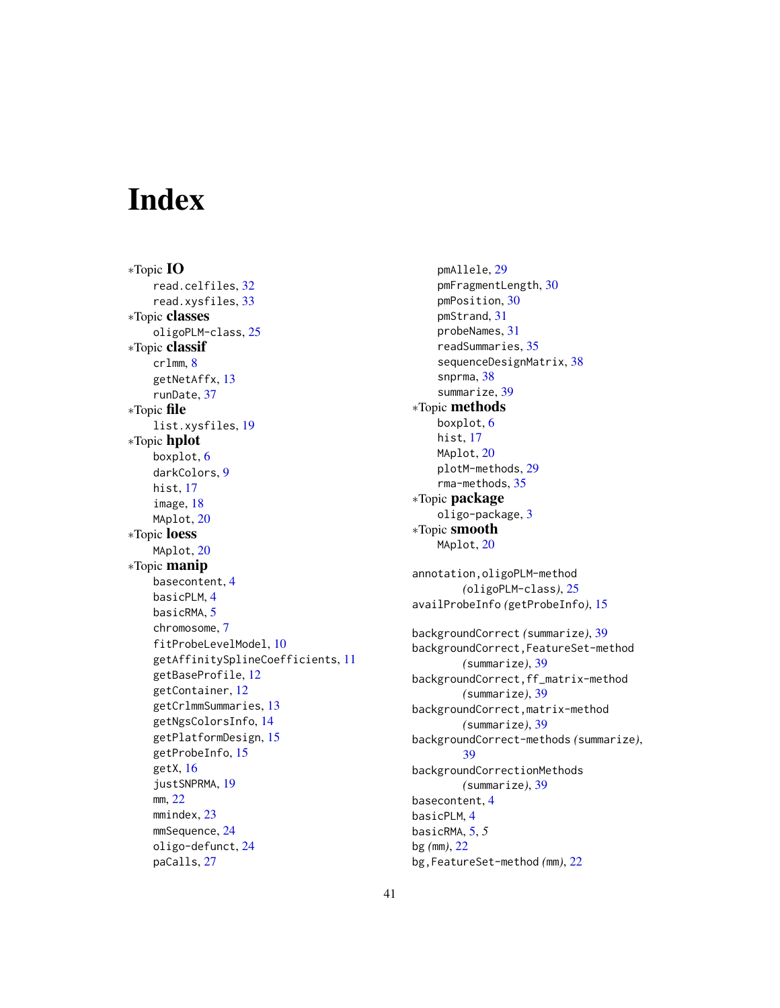# <span id="page-40-0"></span>**Index**

∗Topic IO read.celfiles, [32](#page-31-0) read.xysfiles, [33](#page-32-0) ∗Topic classes oligoPLM-class, [25](#page-24-0) ∗Topic classif crlmm, [8](#page-7-0) getNetAffx, [13](#page-12-0) runDate, [37](#page-36-0) ∗Topic file list.xysfiles, [19](#page-18-0) ∗Topic hplot boxplot, [6](#page-5-0) darkColors, [9](#page-8-0) hist, [17](#page-16-0) image, [18](#page-17-0) MAplot, [20](#page-19-0) ∗Topic loess MAplot, [20](#page-19-0) ∗Topic manip basecontent, [4](#page-3-0) basicPLM, [4](#page-3-0) basicRMA, [5](#page-4-0) chromosome, [7](#page-6-0) fitProbeLevelModel, [10](#page-9-0) getAffinitySplineCoefficients, [11](#page-10-0) getBaseProfile, [12](#page-11-0) getContainer, [12](#page-11-0) getCrlmmSummaries, [13](#page-12-0) getNgsColorsInfo, [14](#page-13-0) getPlatformDesign, [15](#page-14-0) getProbeInfo, [15](#page-14-0) getX, [16](#page-15-0) justSNPRMA, [19](#page-18-0) mm, [22](#page-21-0) mmindex, [23](#page-22-0) mmSequence, [24](#page-23-0) oligo-defunct, [24](#page-23-0) paCalls, [27](#page-26-0)

pmAllele, [29](#page-28-0) pmFragmentLength, [30](#page-29-0) pmPosition, [30](#page-29-0) pmStrand, [31](#page-30-0) probeNames, [31](#page-30-0) readSummaries, [35](#page-34-0) sequenceDesignMatrix, [38](#page-37-0) snprma, [38](#page-37-0) summarize, [39](#page-38-0) ∗Topic methods boxplot, [6](#page-5-0) hist, [17](#page-16-0) MAplot, [20](#page-19-0) plotM-methods, [29](#page-28-0) rma-methods, [35](#page-34-0) ∗Topic package oligo-package, [3](#page-2-0) ∗Topic smooth MAplot, [20](#page-19-0) annotation,oligoPLM-method *(*oligoPLM-class*)*, [25](#page-24-0) availProbeInfo *(*getProbeInfo*)*, [15](#page-14-0) backgroundCorrect *(*summarize*)*, [39](#page-38-0) backgroundCorrect,FeatureSet-method *(*summarize*)*, [39](#page-38-0) backgroundCorrect,ff\_matrix-method *(*summarize*)*, [39](#page-38-0) backgroundCorrect,matrix-method *(*summarize*)*, [39](#page-38-0) backgroundCorrect-methods *(*summarize*)*, [39](#page-38-0) backgroundCorrectionMethods *(*summarize*)*, [39](#page-38-0) basecontent, [4](#page-3-0) basicPLM, [4](#page-3-0) basicRMA, [5,](#page-4-0) *5* bg *(*mm*)*, [22](#page-21-0) bg,FeatureSet-method *(*mm*)*, [22](#page-21-0)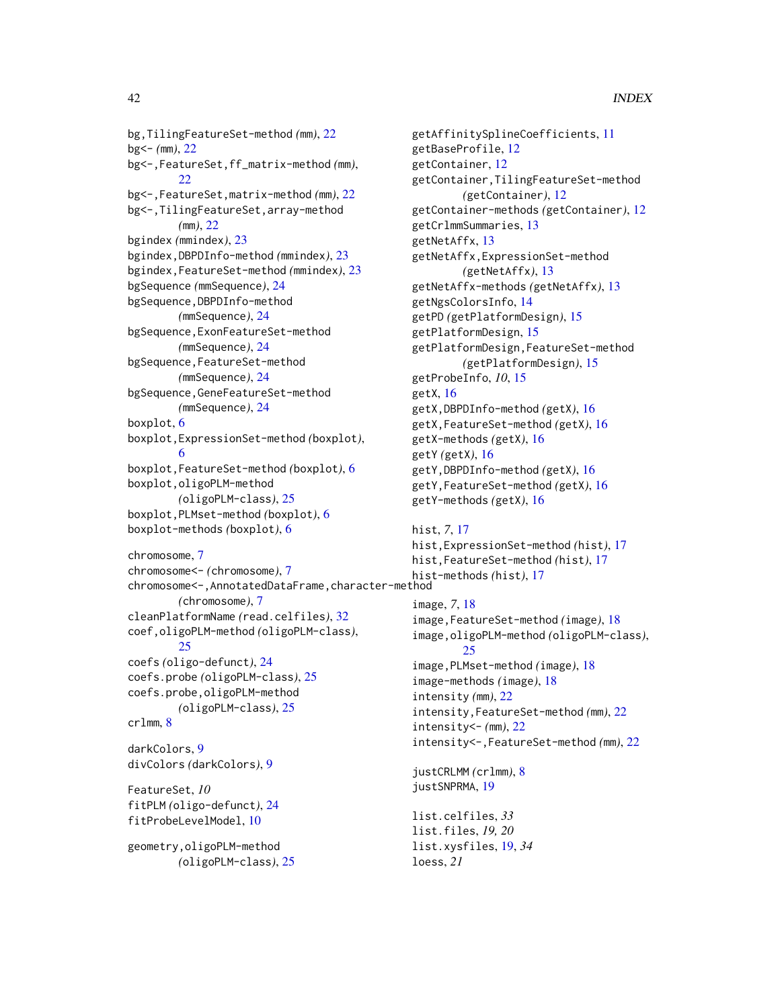bg,TilingFeatureSet-method *(*mm*)*, [22](#page-21-0) bg<- *(*mm*)*, [22](#page-21-0) bg<-,FeatureSet,ff\_matrix-method *(*mm*)*,  $22$ bg<-,FeatureSet,matrix-method *(*mm*)*, [22](#page-21-0) bg<-,TilingFeatureSet,array-method *(*mm*)*, [22](#page-21-0) bgindex *(*mmindex*)*, [23](#page-22-0) bgindex,DBPDInfo-method *(*mmindex*)*, [23](#page-22-0) bgindex,FeatureSet-method *(*mmindex*)*, [23](#page-22-0) bgSequence *(*mmSequence*)*, [24](#page-23-0) bgSequence,DBPDInfo-method *(*mmSequence*)*, [24](#page-23-0) bgSequence,ExonFeatureSet-method *(*mmSequence*)*, [24](#page-23-0) bgSequence,FeatureSet-method *(*mmSequence*)*, [24](#page-23-0) bgSequence,GeneFeatureSet-method *(*mmSequence*)*, [24](#page-23-0) boxplot, [6](#page-5-0) boxplot,ExpressionSet-method *(*boxplot*)*, [6](#page-5-0) boxplot,FeatureSet-method *(*boxplot*)*, [6](#page-5-0) boxplot,oligoPLM-method *(*oligoPLM-class*)*, [25](#page-24-0) boxplot,PLMset-method *(*boxplot*)*, [6](#page-5-0) boxplot-methods *(*boxplot*)*, [6](#page-5-0) chromosome, [7](#page-6-0) chromosome<- *(*chromosome*)*, [7](#page-6-0) chromosome<-,AnnotatedDataFrame,character-method *(*chromosome*)*, [7](#page-6-0) cleanPlatformName *(*read.celfiles*)*, [32](#page-31-0) coef,oligoPLM-method *(*oligoPLM-class*)*, [25](#page-24-0) coefs *(*oligo-defunct*)*, [24](#page-23-0) coefs.probe *(*oligoPLM-class*)*, [25](#page-24-0) coefs.probe,oligoPLM-method *(*oligoPLM-class*)*, [25](#page-24-0) crlmm, [8](#page-7-0) darkColors, [9](#page-8-0) divColors *(*darkColors*)*, [9](#page-8-0) FeatureSet, *10* fitPLM *(*oligo-defunct*)*, [24](#page-23-0) fitProbeLevelModel, [10](#page-9-0) geometry,oligoPLM-method

*(*oligoPLM-class*)*, [25](#page-24-0)

getAffinitySplineCoefficients, [11](#page-10-0) getBaseProfile, [12](#page-11-0) getContainer, [12](#page-11-0) getContainer,TilingFeatureSet-method *(*getContainer*)*, [12](#page-11-0) getContainer-methods *(*getContainer*)*, [12](#page-11-0) getCrlmmSummaries, [13](#page-12-0) getNetAffx, [13](#page-12-0) getNetAffx,ExpressionSet-method *(*getNetAffx*)*, [13](#page-12-0) getNetAffx-methods *(*getNetAffx*)*, [13](#page-12-0) getNgsColorsInfo, [14](#page-13-0) getPD *(*getPlatformDesign*)*, [15](#page-14-0) getPlatformDesign, [15](#page-14-0) getPlatformDesign,FeatureSet-method *(*getPlatformDesign*)*, [15](#page-14-0) getProbeInfo, *10*, [15](#page-14-0) getX, [16](#page-15-0) getX,DBPDInfo-method *(*getX*)*, [16](#page-15-0) getX,FeatureSet-method *(*getX*)*, [16](#page-15-0) getX-methods *(*getX*)*, [16](#page-15-0) getY *(*getX*)*, [16](#page-15-0) getY,DBPDInfo-method *(*getX*)*, [16](#page-15-0) getY,FeatureSet-method *(*getX*)*, [16](#page-15-0) getY-methods *(*getX*)*, [16](#page-15-0)

# hist, *7*, [17](#page-16-0) hist,ExpressionSet-method *(*hist*)*, [17](#page-16-0) hist,FeatureSet-method *(*hist*)*, [17](#page-16-0) hist-methods *(*hist*)*, [17](#page-16-0) image, *7*, [18](#page-17-0) image,FeatureSet-method *(*image*)*, [18](#page-17-0) image,oligoPLM-method *(*oligoPLM-class*)*, [25](#page-24-0) image,PLMset-method *(*image*)*, [18](#page-17-0) image-methods *(*image*)*, [18](#page-17-0) intensity *(*mm*)*, [22](#page-21-0) intensity,FeatureSet-method *(*mm*)*, [22](#page-21-0) intensity<- *(*mm*)*, [22](#page-21-0) intensity<-,FeatureSet-method *(*mm*)*, [22](#page-21-0) justCRLMM *(*crlmm*)*, [8](#page-7-0) justSNPRMA, [19](#page-18-0)

list.celfiles, *33* list.files, *19, 20* list.xysfiles, [19,](#page-18-0) *34* loess, *21*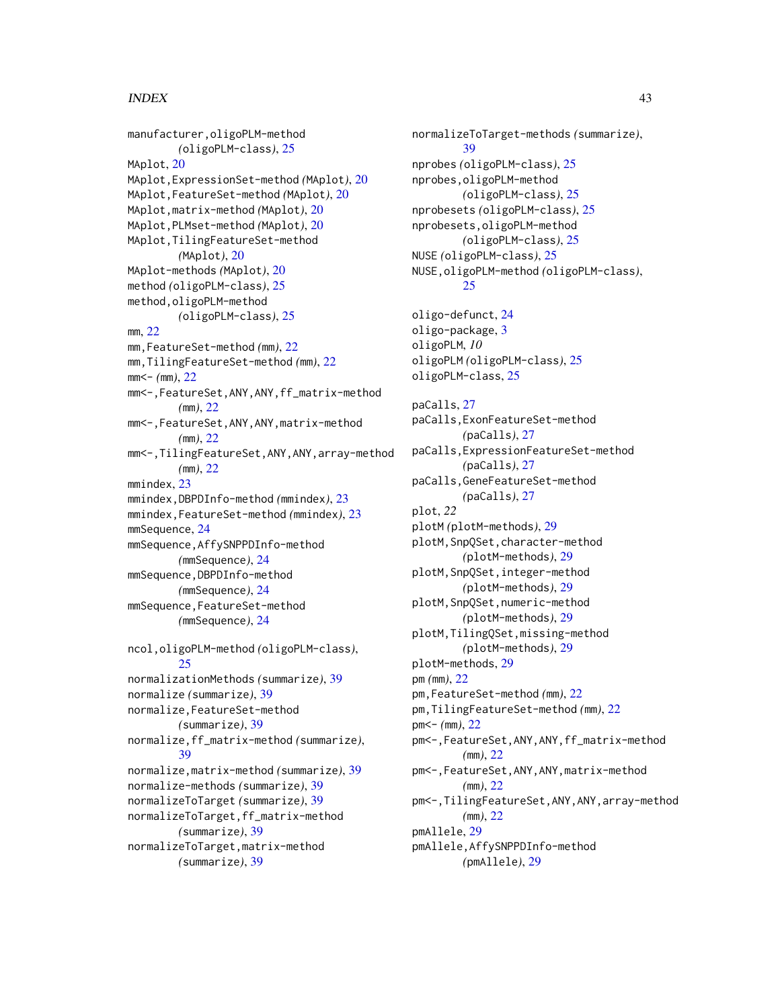# $I<sub>N</sub>$  and  $I<sub>3</sub>$  and  $I<sub>43</sub>$

manufacturer,oligoPLM-method *(*oligoPLM-class*)*, [25](#page-24-0) MAplot<sub>. [20](#page-19-0)</sub> MAplot,ExpressionSet-method *(*MAplot*)*, [20](#page-19-0) MAplot,FeatureSet-method *(*MAplot*)*, [20](#page-19-0) MAplot,matrix-method *(*MAplot*)*, [20](#page-19-0) MAplot,PLMset-method *(*MAplot*)*, [20](#page-19-0) MAplot,TilingFeatureSet-method *(*MAplot*)*, [20](#page-19-0) MAplot-methods *(*MAplot*)*, [20](#page-19-0) method *(*oligoPLM-class*)*, [25](#page-24-0) method,oligoPLM-method *(*oligoPLM-class*)*, [25](#page-24-0) mm, [22](#page-21-0) mm,FeatureSet-method *(*mm*)*, [22](#page-21-0) mm,TilingFeatureSet-method *(*mm*)*, [22](#page-21-0) mm<- *(*mm*)*, [22](#page-21-0) mm<-,FeatureSet,ANY,ANY,ff\_matrix-method *(*mm*)*, [22](#page-21-0) mm<-,FeatureSet,ANY,ANY,matrix-method *(*mm*)*, [22](#page-21-0) mm<-,TilingFeatureSet,ANY,ANY,array-method *(*mm*)*, [22](#page-21-0) mmindex, [23](#page-22-0) mmindex,DBPDInfo-method *(*mmindex*)*, [23](#page-22-0) mmindex,FeatureSet-method *(*mmindex*)*, [23](#page-22-0) mmSequence, [24](#page-23-0) mmSequence,AffySNPPDInfo-method *(*mmSequence*)*, [24](#page-23-0) mmSequence,DBPDInfo-method *(*mmSequence*)*, [24](#page-23-0) mmSequence,FeatureSet-method *(*mmSequence*)*, [24](#page-23-0) ncol,oligoPLM-method *(*oligoPLM-class*)*,  $25$ normalizationMethods *(*summarize*)*, [39](#page-38-0) normalize *(*summarize*)*, [39](#page-38-0) normalize,FeatureSet-method *(*summarize*)*, [39](#page-38-0) normalize,ff\_matrix-method *(*summarize*)*, [39](#page-38-0) normalize,matrix-method *(*summarize*)*, [39](#page-38-0) normalize-methods *(*summarize*)*, [39](#page-38-0) normalizeToTarget *(*summarize*)*, [39](#page-38-0) normalizeToTarget,ff\_matrix-method *(*summarize*)*, [39](#page-38-0) normalizeToTarget,matrix-method *(*summarize*)*, [39](#page-38-0)

normalizeToTarget-methods *(*summarize*)*, [39](#page-38-0) nprobes *(*oligoPLM-class*)*, [25](#page-24-0) nprobes,oligoPLM-method *(*oligoPLM-class*)*, [25](#page-24-0) nprobesets *(*oligoPLM-class*)*, [25](#page-24-0) nprobesets,oligoPLM-method *(*oligoPLM-class*)*, [25](#page-24-0) NUSE *(*oligoPLM-class*)*, [25](#page-24-0) NUSE,oligoPLM-method *(*oligoPLM-class*)*, [25](#page-24-0) oligo-defunct, [24](#page-23-0) oligo-package, [3](#page-2-0) oligoPLM, *10* oligoPLM *(*oligoPLM-class*)*, [25](#page-24-0) oligoPLM-class, [25](#page-24-0) paCalls, [27](#page-26-0) paCalls,ExonFeatureSet-method *(*paCalls*)*, [27](#page-26-0) paCalls,ExpressionFeatureSet-method *(*paCalls*)*, [27](#page-26-0) paCalls,GeneFeatureSet-method *(*paCalls*)*, [27](#page-26-0) plot, *22* plotM *(*plotM-methods*)*, [29](#page-28-0) plotM,SnpQSet,character-method *(*plotM-methods*)*, [29](#page-28-0) plotM,SnpQSet,integer-method *(*plotM-methods*)*, [29](#page-28-0) plotM,SnpQSet,numeric-method *(*plotM-methods*)*, [29](#page-28-0) plotM,TilingQSet,missing-method *(*plotM-methods*)*, [29](#page-28-0) plotM-methods, [29](#page-28-0) pm *(*mm*)*, [22](#page-21-0) pm,FeatureSet-method *(*mm*)*, [22](#page-21-0) pm,TilingFeatureSet-method *(*mm*)*, [22](#page-21-0) pm<- *(*mm*)*, [22](#page-21-0) pm<-,FeatureSet,ANY,ANY,ff\_matrix-method *(*mm*)*, [22](#page-21-0) pm<-,FeatureSet,ANY,ANY,matrix-method *(*mm*)*, [22](#page-21-0) pm<-,TilingFeatureSet,ANY,ANY,array-method *(*mm*)*, [22](#page-21-0) pmAllele, [29](#page-28-0) pmAllele,AffySNPPDInfo-method *(*pmAllele*)*, [29](#page-28-0)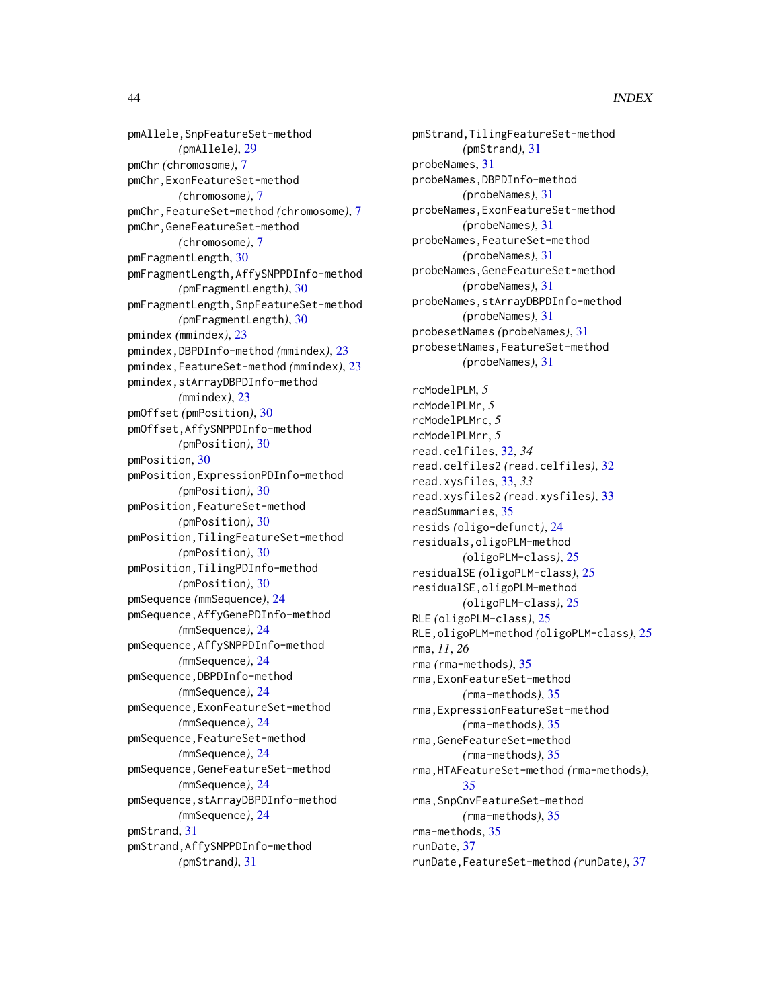pmAllele,SnpFeatureSet-method *(*pmAllele*)*, [29](#page-28-0) pmChr *(*chromosome*)*, [7](#page-6-0) pmChr,ExonFeatureSet-method *(*chromosome*)*, [7](#page-6-0) pmChr,FeatureSet-method *(*chromosome*)*, [7](#page-6-0) pmChr,GeneFeatureSet-method *(*chromosome*)*, [7](#page-6-0) pmFragmentLength, [30](#page-29-0) pmFragmentLength,AffySNPPDInfo-method *(*pmFragmentLength*)*, [30](#page-29-0) pmFragmentLength,SnpFeatureSet-method *(*pmFragmentLength*)*, [30](#page-29-0) pmindex *(*mmindex*)*, [23](#page-22-0) pmindex,DBPDInfo-method *(*mmindex*)*, [23](#page-22-0) pmindex,FeatureSet-method *(*mmindex*)*, [23](#page-22-0) pmindex,stArrayDBPDInfo-method *(*mmindex*)*, [23](#page-22-0) pmOffset *(*pmPosition*)*, [30](#page-29-0) pmOffset,AffySNPPDInfo-method *(*pmPosition*)*, [30](#page-29-0) pmPosition, [30](#page-29-0) pmPosition,ExpressionPDInfo-method *(*pmPosition*)*, [30](#page-29-0) pmPosition,FeatureSet-method *(*pmPosition*)*, [30](#page-29-0) pmPosition,TilingFeatureSet-method *(*pmPosition*)*, [30](#page-29-0) pmPosition,TilingPDInfo-method *(*pmPosition*)*, [30](#page-29-0) pmSequence *(*mmSequence*)*, [24](#page-23-0) pmSequence,AffyGenePDInfo-method *(*mmSequence*)*, [24](#page-23-0) pmSequence,AffySNPPDInfo-method *(*mmSequence*)*, [24](#page-23-0) pmSequence,DBPDInfo-method *(*mmSequence*)*, [24](#page-23-0) pmSequence,ExonFeatureSet-method *(*mmSequence*)*, [24](#page-23-0) pmSequence,FeatureSet-method *(*mmSequence*)*, [24](#page-23-0) pmSequence,GeneFeatureSet-method *(*mmSequence*)*, [24](#page-23-0) pmSequence,stArrayDBPDInfo-method *(*mmSequence*)*, [24](#page-23-0) pmStrand, [31](#page-30-0) pmStrand,AffySNPPDInfo-method *(*pmStrand*)*, [31](#page-30-0)

pmStrand,TilingFeatureSet-method *(*pmStrand*)*, [31](#page-30-0) probeNames, [31](#page-30-0) probeNames,DBPDInfo-method *(*probeNames*)*, [31](#page-30-0) probeNames,ExonFeatureSet-method *(*probeNames*)*, [31](#page-30-0) probeNames,FeatureSet-method *(*probeNames*)*, [31](#page-30-0) probeNames,GeneFeatureSet-method *(*probeNames*)*, [31](#page-30-0) probeNames, stArrayDBPDInfo-method *(*probeNames*)*, [31](#page-30-0) probesetNames *(*probeNames*)*, [31](#page-30-0) probesetNames,FeatureSet-method *(*probeNames*)*, [31](#page-30-0) rcModelPLM, *5* rcModelPLMr, *5* rcModelPLMrc, *5* rcModelPLMrr, *5* read.celfiles, [32,](#page-31-0) *34* read.celfiles2 *(*read.celfiles*)*, [32](#page-31-0) read.xysfiles, [33,](#page-32-0) *33* read.xysfiles2 *(*read.xysfiles*)*, [33](#page-32-0) readSummaries, [35](#page-34-0) resids *(*oligo-defunct*)*, [24](#page-23-0) residuals,oligoPLM-method *(*oligoPLM-class*)*, [25](#page-24-0) residualSE *(*oligoPLM-class*)*, [25](#page-24-0) residualSE,oligoPLM-method *(*oligoPLM-class*)*, [25](#page-24-0) RLE *(*oligoPLM-class*)*, [25](#page-24-0) RLE,oligoPLM-method *(*oligoPLM-class*)*, [25](#page-24-0) rma, *11*, *26* rma *(*rma-methods*)*, [35](#page-34-0) rma,ExonFeatureSet-method *(*rma-methods*)*, [35](#page-34-0) rma,ExpressionFeatureSet-method *(*rma-methods*)*, [35](#page-34-0) rma,GeneFeatureSet-method *(*rma-methods*)*, [35](#page-34-0) rma,HTAFeatureSet-method *(*rma-methods*)*, [35](#page-34-0) rma,SnpCnvFeatureSet-method *(*rma-methods*)*, [35](#page-34-0) rma-methods, [35](#page-34-0) runDate, [37](#page-36-0) runDate,FeatureSet-method *(*runDate*)*, [37](#page-36-0)